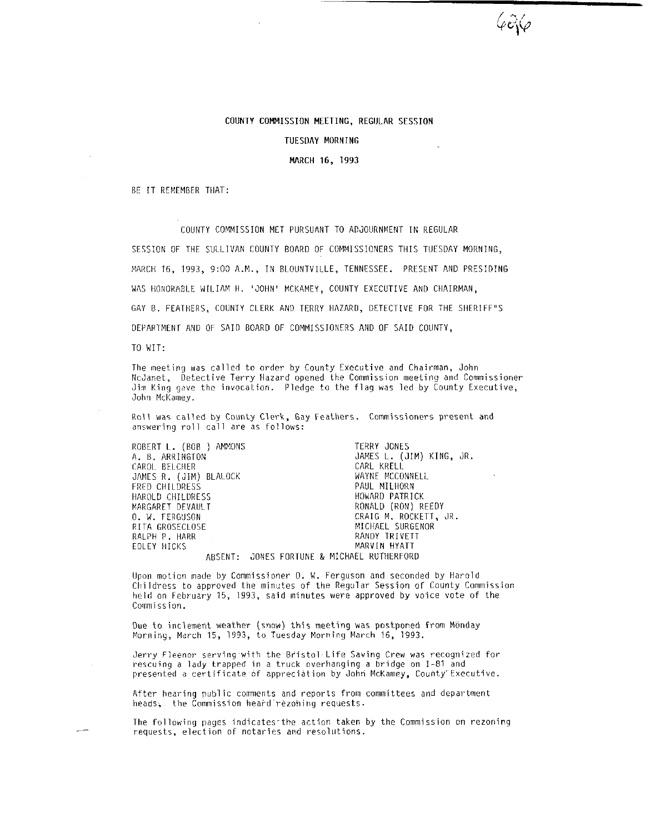## COllNTY COMMISSION MEETING, REGIJILAR SESSION

TUESDAY MORNING

### MARCH 16, 1993

BE IT RCMEMBER TIIAT:

COUNTY COMMISSION MET PURSUANT TO ADJOURNMENT IN REGULAR

SESSION OF THE SULLIVAN COUNTY BOARD OF COMMISSIONERS THIS TUESDAY MORNING, MARCH 16, 1993, 9:00 A.M., IN BLOUNTVILLE, TENNESSEE. PRESENT AND PRESIDING WAS HONORABLE WILIAM H. 'JOHN' MCKAMEY, COUNTY EXECUTIVE AND CHAIRMAN, GAY B. FEATHERS, COUNTY CLERK AND TERRY HAZARD, DETECTIVE FOR THE SHERIFF"S DEPARTMENT AND OF SAID BOARD OF COMMISSIONERS AND OF SAID COUNTY,

TO WIT:

The meeting was called to order by County Executive and Chairman, John NcJanet, Detective Terry Hazard opened the Commission meeting and Commissioner Jim King gave the invocation. Pledge to the flag was led by County Executive, John McKamey.

Kall was called by County C\erk, Gay Feathers. Commissioners present and answering roll call are as follows:

ROBERT L. (BOB ) AMMONS A. B. ARRINGTON CAROI~ BEI.CIIER JAMES R. (JIM) BLALOCK FRED CIIILDRESS HAKOLD CHILDRESS NARGARET DEVAULT 0. W. FERGUSON RITA GROSECLOSE RALPH P. IHARR EDLEY HICKS TERRY JONES JAMES L. (JIM) KING, JR. CARL KRELL WAYNE MCCONNELL PAUL MILHORN HOWARD PATRICK RONALD (RON) REEDY CRAIG M. ROCKETT. JR MICHAEL SURGENOR RANDY TRIVETT MARVIN HYATT

ABSENT: JONES FORTUNE & MICHAEL RUTHERFORD

Upon motion made by Commissioner 0. W. Ferguson and seconded hy Warold Cliildress to approved the minutes of the Regular Session of County Commission held on February 15, 1993, said minutes were approved by voice vote of the Commission.

Due to inclement weather (snow) this meeting was postponed from Monday Morniny, March 15, 1993, to Tuesday Morning March 16, 1993.

Jerry Fleenor serving with the Bristol Life Saving Crew was recognized for rescuing a lady trapped in a truck overhanging a bridge on I-81 and presented a certificate of appreciation by John McKamey, County Executive.

After hearing public comments and reports from committees and department  $heads$ , the Commission heard rezoning requests.

The following pages indicates the action taken by the Commission on rezoning requests, election of notaries and resolutions.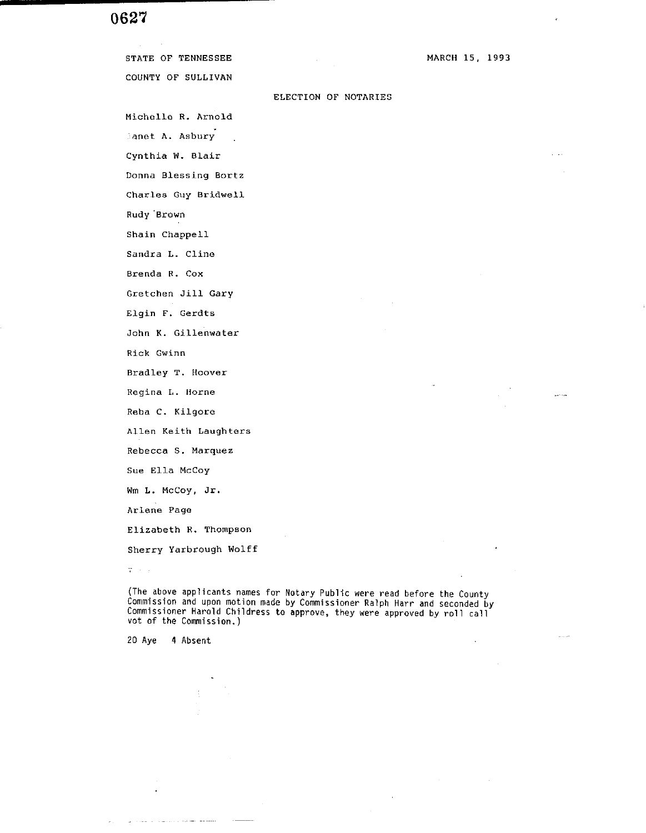# 0627

COUNTY OF SULLIVAN Michelle R. Arnold Sanet A. Asbury Cynthia W. Blair Donna Blessing Bortz Charles Guy Bridwell Rudy 'Brown Shain Chappell Sandra L. Cline Brenda R. Cox Gretchen Jill Gary Elgin F. Gerdts John K. Gillenwater Rick Gwinn Bradley T. Hoover Regina L. Horne Reba C. Kilgore Allen Keith Laughters Rebecca **S.** Marque2 Sue Ella McCoy **Wm** L. McCoy, Jr. Arlene Page

Sherry Yarbrough Wolff

 $\overline{q}$  ,  $\overline{q}$  ,  $\overline{q}$ 

**(The above applicants names for Notary Public were read before the County Commission and upon motion made by Commissioner Ralph Harr and seconded by Commissioner Harold Childress to approve, they were approved by roll call vot of the Commission.)** 

**20 Aye 4 Absent** 

MARCH **15.** 1993

## ELECTION OF NOTARIES

STATE OF TENNESSEE

Elizabeth R. Thompson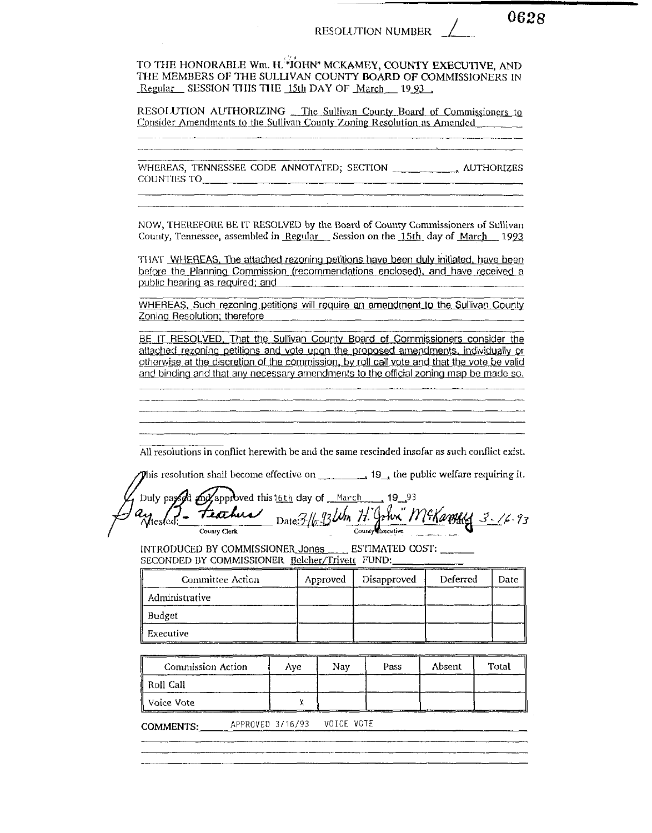0628

TO THE HONORABLE Wm, H. "JOHN" MCKAMEY, COUNTY EXECUTIVE, AND THE MEMBERS OF THE SULLIVAN COUNTY BOARD OF COMMISSIONERS IN Regular SESSION THIS THE 15th DAY OF March 1993.

RESOLUTION AUTHORIZING The Sullivan County Board of Commissioners to Consider Amendments to the Sullivan County Zoning Resolution as Amended

COUNTIES TO **Example 2018** TO **EXAMPLE 2018** 

NOW, THEREFORE BE IT RESOLVED by the Board of County Commissioners of Sullivan County, Tennessee, assembled in Regular Session on the 15th day of March 1993

THAT WHEREAS, The attached rezoning petitions have been duly initiated, have been before the Planning Commission (recommendations enclosed), and have received a public hearing as required; and

WHEREAS, Such rezoning petitions will require an amendment to the Sullivan County Zoning Resolution; therefore

BE IT RESOLVED. That the Sullivan County Board of Commissioners consider the attached rezoning petitions and vote upon the proposed amendments, individually or otherwise at the discretion of the commission, by roll call vote and that the vote be valid and binding and that any necessary amendments to the official zoning map be made so.

All resolutions in conflict herewith be and the same rescinded insofar as such conflict exist.

This resolution shall become effective on  $\mathbb{R}^3$  , the public welfare requiring it.

Duly paysed my approved this 16th day of March 19 93 Date: 316 93 Um H. John McKaroldy 3-16-93 Unesled: teorhis County Executive County Clerk

INTRODUCED BY COMMISSIONER\_Jones ESTIMATED COST: SECONDED BY COMMISSIONER Belcher/Trivett FUND:

| <b>Committee Action</b> | Approved | Disapproved | Deferred | Date |
|-------------------------|----------|-------------|----------|------|
| Administrative          |          |             |          |      |
| Budget                  |          |             |          |      |
| Executive               |          |             |          |      |

| Commission Action | Ave | Nav | Pass | Absent | Total |
|-------------------|-----|-----|------|--------|-------|
| - Roll Call       |     |     |      |        |       |
| ll Voice Vote     |     |     |      |        |       |

COMMENTS: APPROVED 3/16/93 VOICE VOTE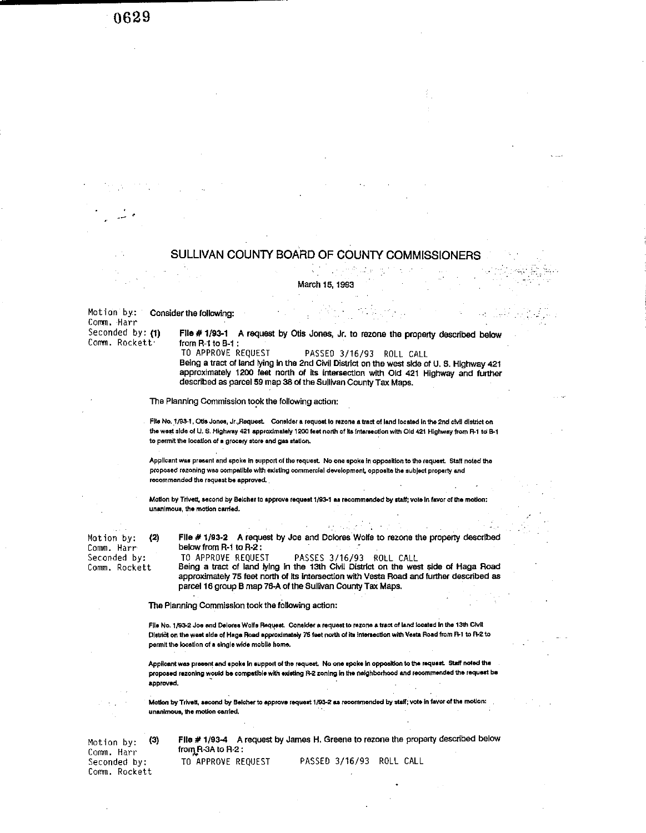0629

# SULLIVAN COUNTY BOARD OF COUNTY COMMISSIONERS

March 15, 1993

Motion by: Consider the following:

Comm. Harr Seconded by: (1) Comm. Rockett<sup>.</sup>

File # 1/93-1 A request by Otis Jones, Jr. to rezone the property described below from  $R-1$  to  $B-1$ :

TO APPROVE REQUEST PASSED 3/16/93 ROLL CALL Being a tract of land lying in the 2nd Civil District on the west side of U.S. Highway 421 approximately 1200 feet north of its intersection with Old 421 Highway and further described as parcel 59 map 38 of the Sullivan County Tax Maps.

The Planning Commission took the following action:

File No. 1/93-1, Otis Jones, Jr., Request. Consider a request to rezone a tract of land located in the 2nd civil district on the west side of U.S. Highway 421 approximately 1200 feet north of its intersection with Old 421 Highway from R-1 to B-1 to permit the location of a grocery store and gas station.

Applicant was present and spoke in support of the request. No one spoke in opposition to the request. Staff noted the proposed rezoning was compatible with existing commercial development, opposite the subject property and recommended the request be approved.

Motion by Trivett, second by Belcher to approve request 1/93-1 as recommended by staff; vote in favor of the motion: unanimous, the motion carried.

 $(2)$ Motion by. Comm. Harr Seconded by: Comm. Rockett

File # 1/93-2 A request by Joe and Dolores Wolfe to rezone the property described below from R-1 to R-2: TO APPROVE REQUEST PASSES 3/16/93 ROLL CALL<br>Being a tract of land lying in the 13th Civil District on the west side of Haga Road

approximately 75 feet north of its intersection with Vesta Road and further described as parcel 16 group B map 76-A of the Sullivan County Tax Maps.

The Planning Commission took the following action:

File No. 1/93-2 Joe and Delores Wolfe Request. Consider a request to rezone a tract of land located in the 13th Civil District on the west side of Hage Road approximately 75 feet north of its intersection with Vesta Road from R-1 to R-2 to permit the location of a single wide mobile home.

Applicant was present and spoke in support of the request. No one spoke in opposition to the request. Staff noted the proposed rezoning would be compatible with existing R-2 zoning in the neighborhood and recommended the request be approved.

Motion by Trivett, second by Belcher to approve request 1/93-2 as recommended by staff; vote in favor of the motion: unanimous, the motion carried.

 $(3)$ Motion by: Comm. Harr Seconded by: Comm. Rockett

File # 1/93-4 A request by James H. Greene to rezone the property described below from  $R$ -3A to  $R$ -2 TO APPROVE REQUEST PASSED 3/16/93 ROLL CALL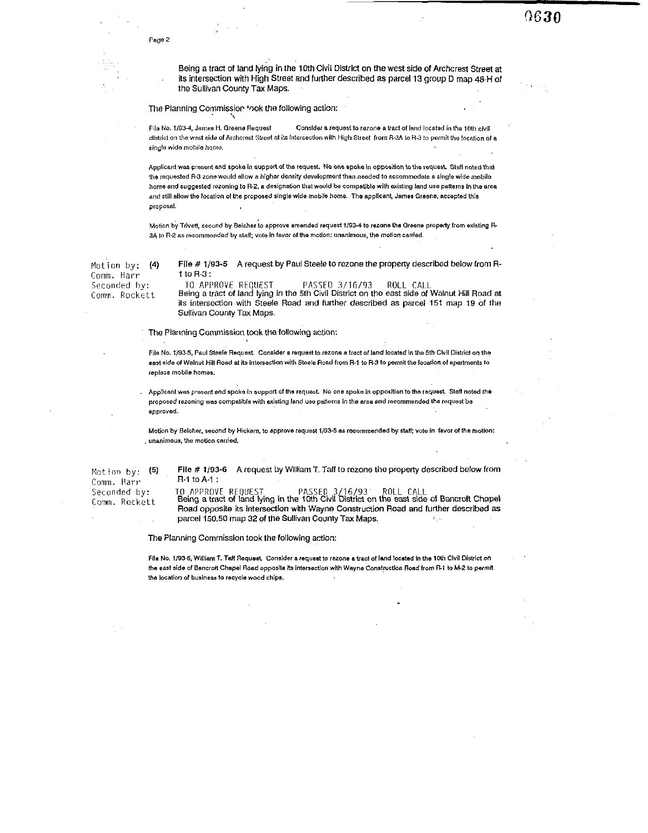Being a tract of land lying in the 10th Civil District on the west side of Archcrest Street at its intersection with High Street and further described as parcel 13 group D map 48-H of the Sullivan County Tax Maps.

9630

### The Planning Commission took the following action:

Consider a request to rezone a tract of land located in the 10th civil File No. 1/93-4, James H. Greene Request district on the west side of Archerest Street at its intersection with High Street from R-3A to R-3 to permit the tocation of a sinale wide mobile home.

Applicant was present and spoke in support of the request. No one spoke in opposition to the request. Staff noted that the requested R-3 zone would allow a higher density development than needed to accommodate a single wide mobile home and suggested rezoning to R-2, a designation that would be compatible with existing land use patterns in the area and still allow the location of the proposed single wide mobile home. The applicant, James Greene, accepted this proposal.

Motion by Triveti, second by Belcher to approve amended request 1/93-4 to rezone the Greene property from existing R-3A to R-2 as recommended by staff; vote in favor of the motion: unanimous, the motion carried.

Motion by:  $(4)$ Comm. Harr Seconded by: Comm. Rockett

File # 1/93-5 A request by Paul Steele to rezone the property described below from R $t$  to  $R-3$ : TO APPROVE REQUEST PASSED 3/16/93 ROLL CALL

Being a tract of land lying in the 5th Civil District on the east side of Walnut Hill Road at its intersection with Steele Road and further described as parcel 151 map 19 of the Sullivan County Tax Maps.

The Planning Commission took the following action:

File No. 1/93-5, Paul Steele Request. Consider a request to rezone a tract of land located in the 5th Civil District on the east side of Walnut Hill Road at its Intersection with Steele Road from R-1 to R-3 to permit the location of apartments to replace mobile homes.

Applicant was present and spoke in support of the request. No one spoke in opposition to the request. Staff noted the proposed rezoning was compatible with existing land use patterns in the area and recommended the request be approved.

Motion by Belcher, second by Hickam, to approve request 1/93-5 as recommended by staff; vote in favor of the motion: unanimous, the motion carried.

 $(5)$ Motion by: Comm. Harr Seconded by: Comm. Rockett

File # 1/93-6 A request by William T. Taff to rezone the property described below from R-1 to A-1:

TO APPROVE REQUEST TO APPROVE REQUEST PASSED 3/16/93 ROLL CALL<br>Being a tract of land lying in the 10th Civil District on the east side of Bancroft Chapel Road opposite its intersection with Wayne Construction Road and further described as parcel 150,50 map 32 of the Sullivan County Tax Maps.

The Planning Commission took the following action:

File No. 1/93-6, William T. Taff Request. Consider a request to rezone a tract of land located in the 10th Civil District on the east side of Bancroft Chapel Road opposite its intersection with Wayne Construction Road from R-1 to M-2 to permit the location of business to recycle wood chips.

Page 2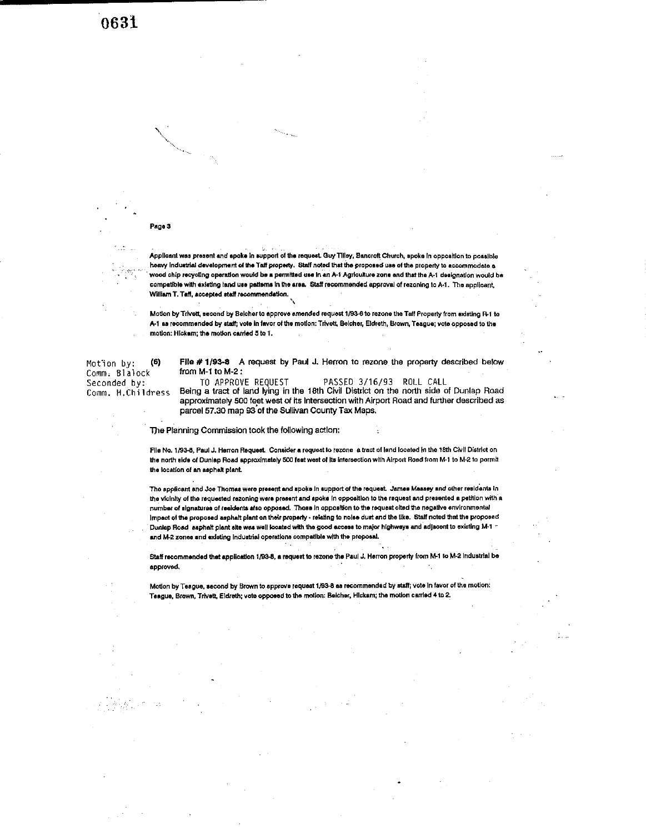#### Page 3

Applicant was present and spoke in support of the request. Guy Tilley, Bancroft Church, spoke in opposition to possible heavy industrial development of the Taff property. Staff noted that the proposed use of the property to accommodate a wood chip recycling operation would be a permitted use in an A-1 Agriculture zone and that the A-1 designation would be compatible with existing land use patterns in the area. Staff recommended approval of rezoning to A-1. The applicant, William T. Taff, accepted staff recommendation.

Motion by Trivett, second by Beicher to approve amended request 1/93-6 to rezone the Taff Property from existing R-1 to A-1 as recommended by staff; vote in fevor of the motion: Trivett, Belcher, Eldreth, Brown, Teague; vote opposed to the motion: Hickam; the motion carried 5 to 1.

Motion by:  $(6)$ Comm. Blalock Seconded by: Comm. H.Childress

File # 1/93-8 A request by Paul J. Herron to rezone the property described below from  $M-1$  to  $M-2$ :

TO APPROVE REQUEST PASSED 3/16/93 ROLL CALL Being a tract of land lying in the 18th Civil District on the north side of Dunlap Road approximately 500 feet west of its Intersection with Airport Road and further described as parcel 57.30 map 93 of the Sullivan County Tax Maps.

The Planning Commission took the following action:

File No. 1/93-8, Paul J. Herron Request. Consider a request to rezone a tract of land located in the 18th Civil District on the north side of Dunlap Road approximately 500 feet west of its intersection with Airport Road from M-1 to M-2 to permit the location of an asphalt plant.

The applicant and Joe Thomas were present and spoke in support of the request. James Massey and other residents in the vicinity of the requested rezoning were present and spoke in opposition to the request and presented a petition with a number of signatures of residents also opposed. Those in opposition to the request cited the negative environmental Impact of the proposed asphalt plant on their property - relating to noise dust and the like. Staff noted that the proposed Dunlap Road asphalt plant site was well located with the good access to major highways and adjacent to existing M-1 and M-2 zones and existing industrial operations compatible with the proposal.

Staff recommended that application 1/93-8, a request to rezone the Paul J. Herron property from M-1 to M-2 Industrial be approved.

Motion by Teague, second by Brown to approve request 1/93-8 as recommended by staff; vote in favor of the motion: Teague, Brown, Trivett, Eldreth; vote opposed to the motion: Beicher, Hickam; the motion carried 4 to 2.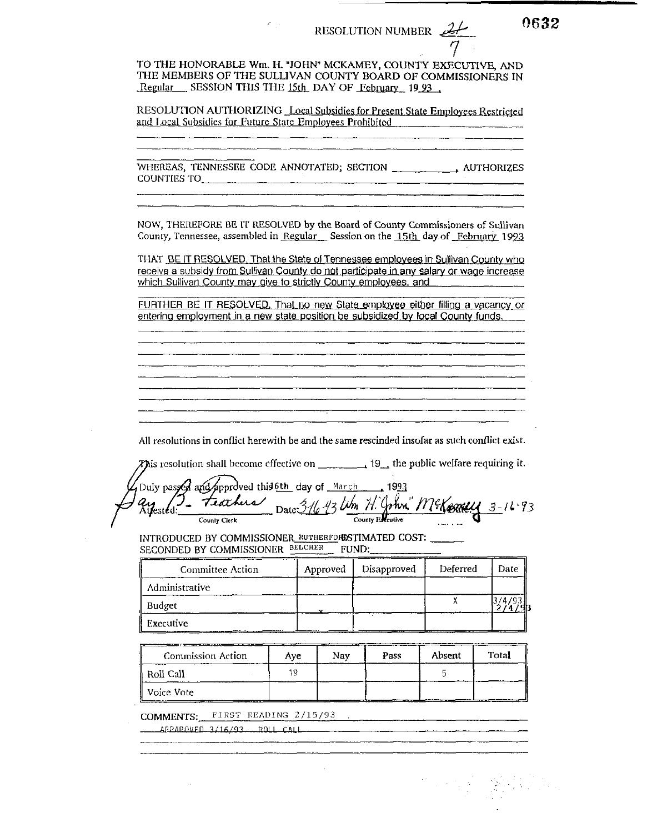RESOLUTION NUMBER  $\mathcal{L}$ 

TO THE HONORABLE Wm. H. "JOHN" MCKAMEY, COUNTY EXECUTIVE, AND THE MEMBERS OF THE SULLIVAN COUNTY BOARD OF COMMISSIONERS IN Regular SESSION THIS THE 15th DAY OF February 19.93.

RESOLUTION AUTHORIZING Local Subsidies for Present State Employees Restricted and Local Subsidies for Future State Employees Prohibited

WHEREAS, TENNESSEE CODE ANNOTATED; SECTION \_\_\_\_\_\_\_\_\_\_\_\_ AUTHORIZES COUNTIES TO

NOW, THEREFORE BE IT RESOLVED by the Board of County Commissioners of Sullivan County, Tennessee, assembled in Regular Session on the 15th day of February 1993

THAT BE IT RESOLVED. That the State of Tennessee employees in Sullivan County who receive a subsidy from Sullivan County do not participate in any salary or wage increase which Sullivan County may give to strictly County employees, and

FURTHER BE IT RESOLVED, That no new State employee either filling a vacancy or entering employment in a new state position be subsidized by local County funds.

All resolutions in conflict herewith be and the same rescinded insofar as such conflict exist.

**This resolution shall become effective on**  $\begin{bmatrix} 19 \\ 19 \end{bmatrix}$ , the public welfare requiring it.

Duly passed and approved this och day of March 1993<br>21 East Leather Date: 3-16-43 Um 71. John. Milkenelly 3-16-93 County Clerk

INTRODUCED BY COMMISSIONER\_RUTHERFORESTIMATED COST: SECONDED BY COMMISSIONER BELCHER FUND:

| <b>Committee Action</b> | Approved | Disapproved | Deferred | Date |
|-------------------------|----------|-------------|----------|------|
| Administrative          |          |             |          |      |
| Budget                  |          |             |          |      |
| Executive               |          |             |          |      |

| Commission Action | ----<br>Ave | Nav | Pass | Absent | Total |
|-------------------|-------------|-----|------|--------|-------|
| ∥ Roll Call       |             |     |      |        |       |
| ll Voice Vote     |             |     |      |        | _____ |

COMMENTS: FIRST READING 2/15/93

APPAROVED 3/16/93 ROLL CALL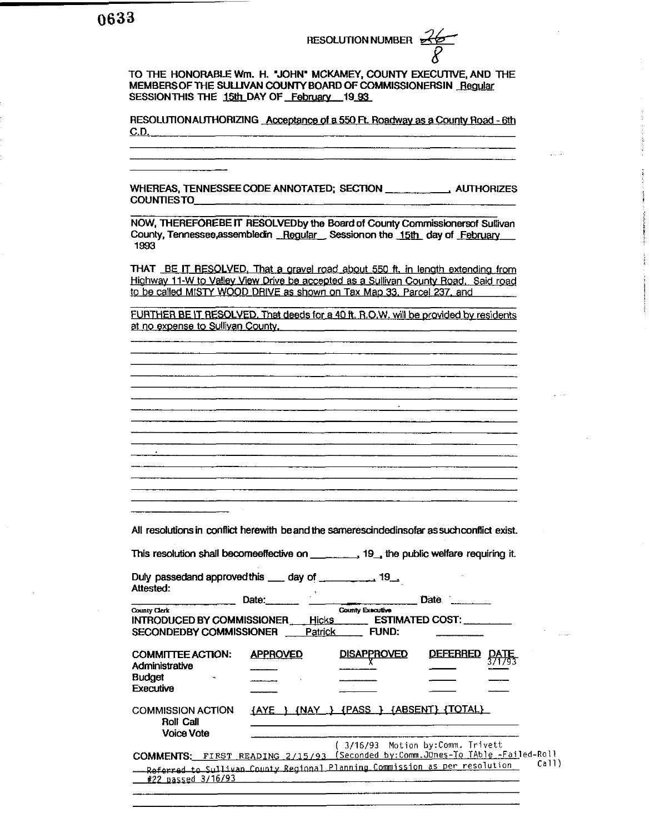TO THE HONORABLE Wm. H. "JOHN" MCKAMEY, COUNTY EXECUTIVE, AND THE MEMBERS OF THE SULLIVAN COUNTY BOARD OF COMMISSIONERSIN Reqular SESSION THIS THE 15th DAY OF February 19 93

RESOLUTION AUTHORIZING Acceptance of a 550 Ft. Roadway as a County Road - 6th  $C.D.$ 

WHEREAS, TENNESSEE CODE ANNOTATED; SECTION \_\_\_\_\_\_\_\_\_\_\_\_\_\_\_ AUTHORIZES COUNTIESTO

NOW. THEREFOREBE IT RESOLVEDby the Board of County Commissionersof Sullivan County, Tennessee, assembled in Regular Session on the 15th day of February 1993

THAT BE IT RESOLVED. That a gravel road about 550 ft, in length extending from Highway 11-W to Valley View Drive be accepted as a Sullivan County Road. Said road to be called MISTY WOOD DRIVE as shown on Tax Map 33, Parcel 237, and

FURTHER BE IT RESOLVED. That deeds for a 40 ft. R.O.W. will be provided by residents at no expense to Sulliyan County.

 $\Delta \sim$ 

All resolutions in conflict herewith be and the samerescindedinsofar as such conflict exist.

<u> 1980 - Januar Stein, mars et al. (</u>

This resolution shall becomeeffective on \_\_\_\_\_\_\_\_\_, 19\_, the public welfare requiring it.

Duly passedand approved this \_\_\_\_ day of \_\_\_\_\_\_\_\_\_\_\_\_\_ 19\_\_\_ Attested:  $\mathcal{O}(\mathcal{O}(\mathcal{O}^2))$ 

<u> 1980 - Jan Bartham Barbara, martin a bhfuillean an t-Alban Barbara ann an t-Alban Barbara ann an t-Alban Barba</u>

|                                                                              | Date:                          |                                                                                                                             | Date.                  |             |
|------------------------------------------------------------------------------|--------------------------------|-----------------------------------------------------------------------------------------------------------------------------|------------------------|-------------|
| County Clerk<br>INTRODUCED BY COMMISSIONER<br><b>SECONDEDBY COMMISSIONER</b> | <b>Hicks</b><br><b>Patrick</b> | County Executive<br>FUND:                                                                                                   | <b>ESTIMATED COST:</b> |             |
| <b>COMMITTEE ACTION:</b><br>Administrative<br><b>Budget</b><br>Executive     | <b>APPROVED</b>                | <b>DISAPPROVED</b>                                                                                                          | <b>DEFERRED</b>        | <b>DATE</b> |
| <b>COMMISSION ACTION</b><br><b>Roll Call</b><br><b>Voice Vote</b>            | {NAY}<br><b>AYE</b>            | <b>{PASS</b><br>3/16/93 Motion by:Comm. Trivett                                                                             | {ABSENT} (TOTAL)       |             |
| <b>COMMENTS:</b><br>#22 passed 3/16/93                                       | FIRST READING 2/15/93          | (Seconded by:Comm.JOnes-To TAble -Failed-Roll<br>Referred to Sullivan County Regional Planning Commission as per resolution |                        | Call        |

 $\overline{11}$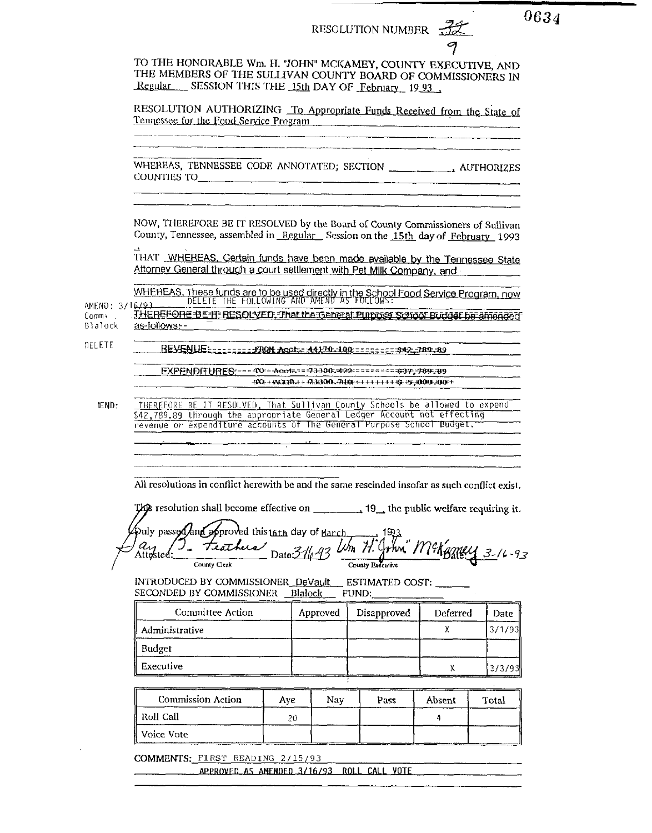|                                       |                                                                                                                                                                                       |     |          | RESOLUTION NUMBER                                                        | 9        | 0634                  |
|---------------------------------------|---------------------------------------------------------------------------------------------------------------------------------------------------------------------------------------|-----|----------|--------------------------------------------------------------------------|----------|-----------------------|
|                                       | TO THE HONORABLE Wm. H. "JOHN" MCKAMEY, COUNTY EXECUTIVE, AND<br>THE MEMBERS OF THE SULLIVAN COUNTY BOARD OF COMMISSIONERS IN<br>Regular SESSION THIS THE 15th DAY OF February 19 93. |     |          |                                                                          |          |                       |
|                                       | RESOLUTION AUTHORIZING To Appropriate Funds Received from the State of<br>Tennessee for the Food Service Program                                                                      |     |          |                                                                          |          |                       |
|                                       |                                                                                                                                                                                       |     |          |                                                                          |          |                       |
|                                       |                                                                                                                                                                                       |     |          |                                                                          |          |                       |
|                                       |                                                                                                                                                                                       |     |          |                                                                          |          |                       |
|                                       | NOW, THEREFORE BE IT RESOLVED by the Board of County Commissioners of Sullivan<br>County, Tennessee, assembled in Regular Session on the 15th day of February 1993                    |     |          |                                                                          |          |                       |
|                                       | THAT WHEREAS, Certain funds have been made available by the Tennessee State<br>Attorney General through a court settlement with Pet Milk Company, and                                 |     |          |                                                                          |          |                       |
|                                       | WHEREAS, These funds are to be used directly in the School Food Service Program, now                                                                                                  |     |          |                                                                          |          |                       |
| AMEND: 3/16/93.<br>Comm, L<br>Blalock | THEREFORE BE IF RESOLVED, That the General Purpose School Buddet be amended.<br>as-follows:-                                                                                          |     |          |                                                                          |          |                       |
| DELETE                                | REVENLIE: ======== FROM Acot: 441 70. 100 =========== 842 789 . 89                                                                                                                    |     |          |                                                                          |          |                       |
|                                       |                                                                                                                                                                                       |     |          |                                                                          |          |                       |
|                                       | EXPENDITURES: === 40: = - Acot=== - 23300, 422 ========= +37, 789.09                                                                                                                  |     |          | 400 + 400049 + + 4760000 + 7410 + + + + + + + + + + + + + + 0000 + 000 + |          |                       |
| <b>IEND:</b>                          | THEREFORE BE IT RESOLVED, That Sullivan County Schools be allowed to expend<br>\$42,789.89 through the appropriate General Ledger Account not effecting                               |     |          |                                                                          |          |                       |
|                                       | revenue or expenditure accounts of The General Purpose School Budget.                                                                                                                 |     |          |                                                                          |          |                       |
|                                       |                                                                                                                                                                                       |     |          |                                                                          |          |                       |
|                                       | All resolutions in conflict herewith be and the same rescinded insofar as such conflict exist.                                                                                        |     |          |                                                                          |          |                       |
|                                       | This resolution shall become effective on $\frac{1}{\sqrt{1-\frac{1}{n}}}$ 19 the public welfare requiring it.                                                                        |     |          |                                                                          |          |                       |
|                                       | $\mathcal{P}$ uly passed and approved this $16$ th day of $\text{March}$<br>teachers                                                                                                  |     |          |                                                                          |          |                       |
|                                       | ' Ay<br>Attested<br>County Clerk                                                                                                                                                      |     | 31643    | County Executive                                                         |          | Thri" McKemey 3-16-93 |
|                                       | INTRODUCED BY COMMISSIONER_DeVault<br>SECONDED BY COMMISSIONER Blalock                                                                                                                |     |          | ESTIMATED COST:<br>FUND:                                                 |          |                       |
|                                       | Committee Action                                                                                                                                                                      |     | Approved | Disapproved                                                              | Deferred | Date                  |
|                                       | Administrative                                                                                                                                                                        |     |          |                                                                          | x        | 3/1/93                |
|                                       | <b>Budget</b>                                                                                                                                                                         |     |          |                                                                          |          |                       |
|                                       | Executive                                                                                                                                                                             |     |          |                                                                          | Χ.       | 3/3/93                |
|                                       |                                                                                                                                                                                       |     |          |                                                                          |          |                       |
|                                       | Commission Action                                                                                                                                                                     | Aye | Nay.     | Pass                                                                     | Absent   | Total                 |
|                                       | Roll Call<br>Voice Vote                                                                                                                                                               | 20  |          |                                                                          | 4        |                       |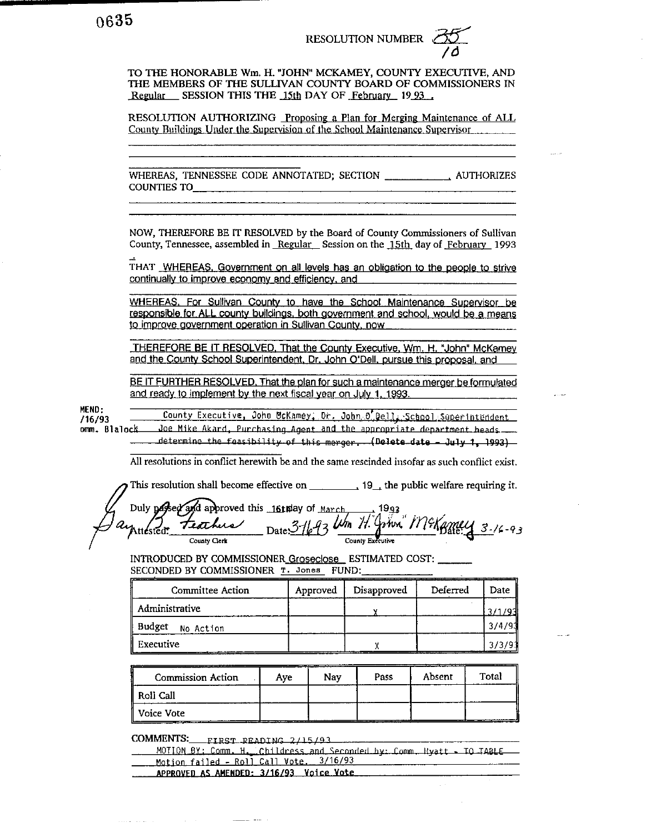TO THE HONORABLE Wm. H. "JOHN" MCKAMEY, COUNTY EXECUTIVE, AND THE MEMBERS OF THE SULLIVAN COUNTY BOARD OF COMMISSIONERS IN Regular SESSION THIS THE 15th DAY OF February 1993

RESOLUTION AUTHORIZING Proposing a Plan for Merging Maintenance of ALL County Buildings Under the Supervision of the School Maintenance Supervisor

**COUNTIES TO\_** 

NOW, THEREFORE BE IT RESOLVED by the Board of County Commissioners of Sullivan County, Tennessee, assembled in Regular Session on the 15th day of February 1993

THAT WHEREAS, Government on all levels has an obligation to the people to strive continually to improve economy and efficiency, and

WHEREAS. For Sullivan County to have the School Maintenance Supervisor be responsible for ALL county buildings, both government and school, would be a means to improve government operation in Sullivan County, now

THEREFORE BE IT RESOLVED, That the County Executive, Wm. H. "John" McKamey and the County School Superintendent, Dr. John O'Dell, pursue this proposal, and

BE IT FURTHER RESOLVED, That the plan for such a maintenance merger be formulated and ready to implement by the next fiscal year on July 1, 1993.

MEND: County Executive, John McKamey, Dr. John O. Dell, School Superintendent /16/93 omm. Blalock

Joe Mike Akard, Purchasing Agent and the appropriate department heads determine the feasibility of this merger. (Delete date - July 1, 1993)

All resolutions in conflict herewith be and the same rescinded insofar as such conflict exist.

This resolution shall become effective on  $\qquad \qquad$ , 19, the public welfare requiring it.

Duly passed and approved this 16thay of March 1993<br>Attested: Feather Date: 3-16-93 Um H. Gown. M& Bately 3-16-93

INTRODUCED BY COMMISSIONER Groseclose ESTIMATED COST: \_\_\_\_\_\_ SECONDED BY COMMISSIONER T. Jones FUND:

| Committee Action    | Approved | Disapproved | Deferred | Date   |
|---------------------|----------|-------------|----------|--------|
| Administrative      |          |             |          | 271707 |
| Budget<br>No Action |          |             |          | 3/4/9  |
| Executive           |          |             |          |        |

| <b>Commission Action</b> | Ave | Nav | Pass | Absent | Total |
|--------------------------|-----|-----|------|--------|-------|
| Roll Call                |     |     |      |        |       |
| Voice Vote               |     |     |      |        |       |

COMMENTS: FIRST READING 2/15/93

. . . . . . . . . . . . . .

MOTION BY: Comm. H. Childress and Seconded by: Comm. Hyatt - TO TABLE Motion failed - Roll Call Vote, 3/16/93

APPROVED AS AMENDED: 3/16/93 Voice Vote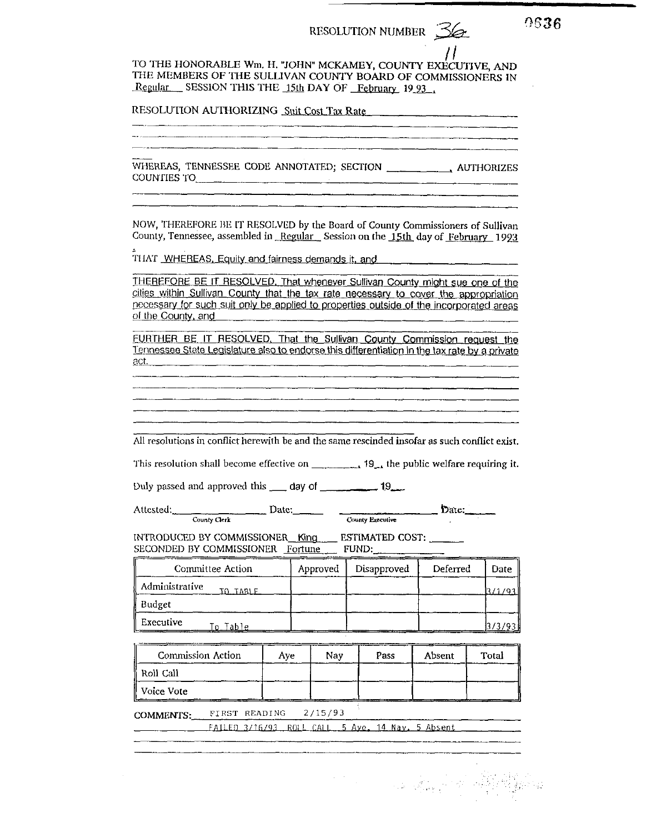71 TO THE HONORABLE Wm. H. "JOHN" MCKAMEY, COUNTY EXECUTIVE, AND THE MEMBERS OF THE SULLIVAN COUNTY BOARD OF COMMISSIONERS IN Regular SESSION THIS THE 15th DAY OF February 1993

| RESOLUTION AUTHORIZING Suit Cost Tax Rate |  |  |  |
|-------------------------------------------|--|--|--|
|-------------------------------------------|--|--|--|

COUNTIES TO

▞<br><sup>▗▙▟▙▁</sup>▗▗▅▅*▟<sup>▙▙▁</sup>▖▀▛▞▖▙▓▁▀▀▞▆▐▙▙▁▀▜▆▓▙▙▃<sub>▕▜</sub>▗▛▁▁▁▁▅▆▊▙▁▗▗▆▛▙▓▁▗▁</sub>▟▛▛▖▓▏▗▄▗▅▛▙▙▐▚▗▅▄▅▖▋▅▓▆▆▓▁▁▁▁▁▁▁▁▁▁▁▁▁▁▁▁▁▁▁▁* 

NOW, THEREFORE BE IT RESOLVED by the Board of County Commissioners of Sullivan County, Tennessee, assembled in Regular Session on the 15th day of February 1993

THAT WHEREAS, Equity and fairness demands it, and

THEREFORE BE IT RESOLVED. That whenever Sullivan County might sue one of the cities within Sullivan County that the tax rate necessary to cover the appropriation necessary for such suit only be applied to properties outside of the incorporated areas of the County, and the county of the County and the county of the county of the county of the county of the county of the county of the county of the county of the county of the county of the county of the county of the co

FURTHER BE IT RESOLVED. That the Sullivan County Commission request the Tennessee State Legislature also to endorse this differentiation in the tax rate by a private  $act.$ 

All resolutions in conflict herewith be and the same rescinded insofar as such conflict exist.

| This resolution shall become effective on | $\frac{1}{2}$ 19 the public welfare requiring it. |  |
|-------------------------------------------|---------------------------------------------------|--|
|                                           |                                                   |  |

Duly passed and approved this \_\_\_\_ day of \_\_\_\_\_\_\_\_\_\_\_ 19\_\_\_

Attested: **County Clerk** 

Date: County Executive Date:

standard and the second states of the second states of the second states of the second states of the second st<br>Second states of the second states of the second states of the second states of the second states of the second

INTRODUCED BY COMMISSIONER\_King ESTIMATED COST: SECONDED BY COMMISSIONER Fortune FUND:

| Committee Action           | Approved | Disapproved | Deferred | Date |
|----------------------------|----------|-------------|----------|------|
| Administrative<br>TO TARLE |          |             |          |      |
| Budget                     |          |             |          |      |
| Executive<br>to Table.     |          |             |          |      |

| <b>Commission Action</b> | Ave | Nav | Pass | Absent | Total |
|--------------------------|-----|-----|------|--------|-------|
| ∥ Roll Call              |     |     |      |        |       |
| Voice Vote               |     |     |      |        |       |

COMMENTS: FIRST READING  $2/15/93$ 

FAILED 3/16/93 ROLL CALL 5 Ave, 14 Nav. 5 Absent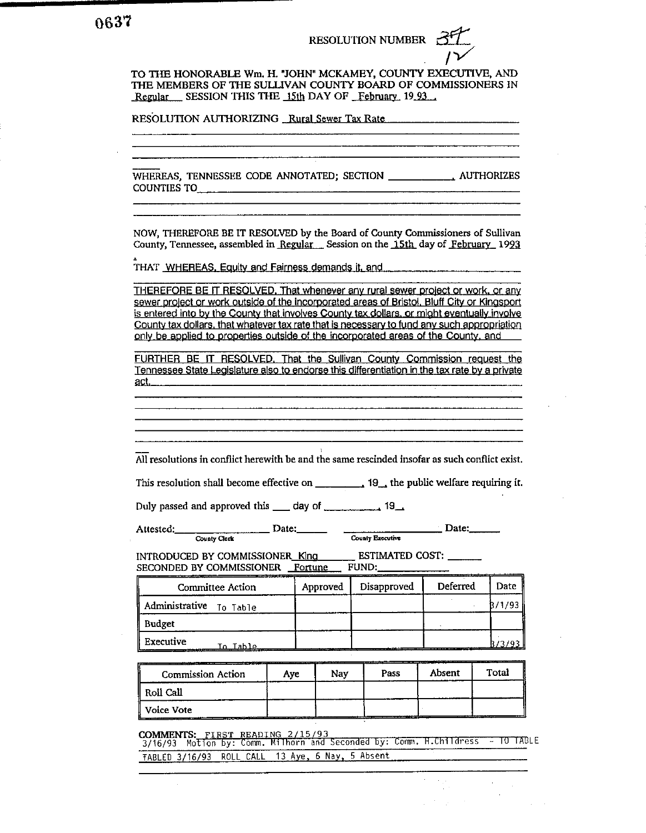TO THE HONORABLE Wm. H. "JOHN" MCKAMEY, COUNTY EXECUTIVE, AND THE MEMBERS OF THE SULLIVAN COUNTY BOARD OF COMMISSIONERS IN Regular SESSION THIS THE 15th DAY OF February 1993

RESOLUTION AUTHORIZING Rural Sewer Tax Rate

WHEREAS. TENNESSEE CODE ANNOTATED: SECTION . AUTHORIZES **COUNTIES TO** 

NOW, THEREFORE BE IT RESOLVED by the Board of County Commissioners of Sullivan County, Tennessee, assembled in Regular Session on the 15th day of February 1993

THAT WHEREAS, Equity and Fairness demands it, and

THEREFORE BE IT RESOLVED. That whenever any rural sewer project or work, or any sewer project or work outside of the incorporated areas of Bristol, Bluff City or Kingsport is entered into by the County that involves County tax dollars, or might eventually involve County tax dollars, that whatever tax rate that is necessary to fund any such appropriation only be applied to properties outside of the incorporated areas of the County, and

FURTHER BE IT RESOLVED. That the Sullivan County Commission request the Tennessee State Legislature also to endorse this differentiation in the tax rate by a private act.

All resolutions in conflict herewith be and the same rescinded insofar as such conflict exist.

This resolution shall become effective on  $\qquad \qquad$  19, the public welfare requiring it.

Attested: **County Clerk** 

INTRODUCED BY COMMISSIONER\_King \_\_\_\_\_\_\_ ESTIMATED COST: \_\_\_\_\_\_ SECONDED BY COMMISSIONER Fortune FUND:

| Committee Action        | Approved | Disapproved | Deferred | Date  |
|-------------------------|----------|-------------|----------|-------|
| Administrative To Table |          |             |          | /1/93 |
| Budget                  |          |             |          |       |
| Executive<br>ماble I    |          |             |          |       |

| <b>Commission Action</b> | Ave | Nav | Pass | Absent | Total |
|--------------------------|-----|-----|------|--------|-------|
| ' Roll Call              |     |     |      |        |       |
| ∥ Voice Vote             |     |     |      |        |       |

**COMMENTS:** COMMENTS: <u>FIRST READING 2/15/93</u><br>3/16/93 Motion by: Comm. Milhorn and Seconded by: Comm. H.Childress – TO TABLE TABLED 3/16/93 ROLL CALL 13 Aye, 6 Nay, 5 Absent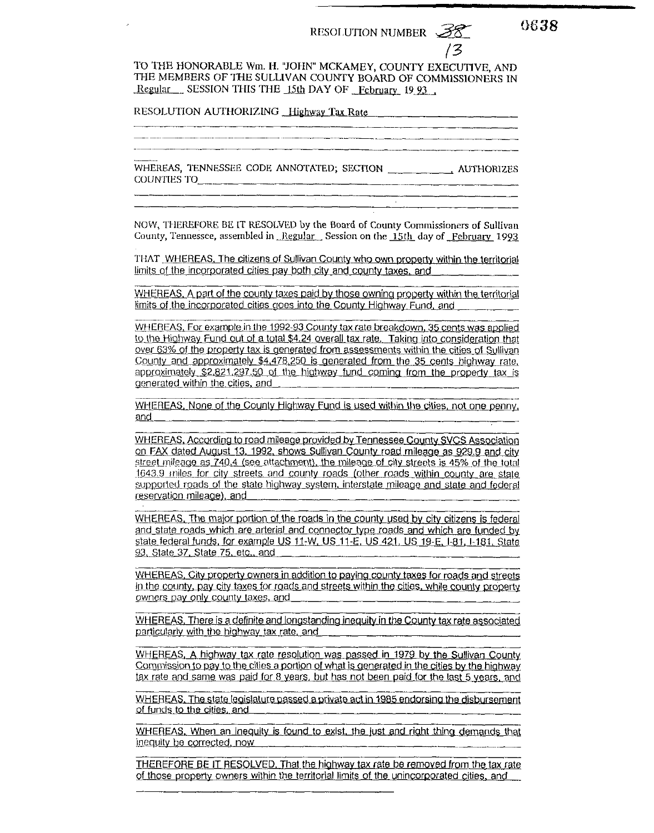<u> 1990 - Jan James James James James James James James James James James James James James James James James Ja</u>

13

0638

TO THE HONORABLE Wm. H. "JOHN" MCKAMEY, COUNTY EXECUTIVE. AND THE MEMBERS OF THE SULLIVAN COUNTY BOARD OF COMMISSIONERS IN Regular SESSION THIS THE 15th DAY OF February 19 93

RESOLUTION AUTHORIZING Highway Tax Rate

COUNTIES TO

NOW, THEREFORE BE IT RESOLVED by the Board of County Commissioners of Sullivan County, Tennessee, assembled in Regular Session on the 15th day of February 1993

THAT WHEREAS, The citizens of Sullivan County who own property within the territorial limits of the incorporated cities pay both city and county taxes, and

WHEREAS, A part of the county taxes paid by those owning property within the territorial limits of the incorporated cities goes into the County Highway Fund, and

WHEREAS, For example in the 1992-93 County tax rate breakdown, 35 cents was applied to the Highway Fund out of a total \$4.24 overall tax rate. Taking into consideration that over 63% of the property tax is generated from assessments within the cities of Sullivan County and approximately \$4,478,250 is generated from the 35 cents highway rate. approximately \$2,821,297.50 of the highway fund coming from the property tax is generated within the cities, and

WHEREAS, None of the County Highway Fund is used within the cities, not one penny, and

WHEREAS, According to road mileage provided by Tennessee County SVCS Association on FAX dated August 13, 1992, shows Sullivan County road mileage as 929.9 and city street mileage as 740.4 (see attachment), the mileage of city streets is 45% of the total 1643.9 miles for city streets and county roads (other roads within county are state supported roads of the state highway system, interstate mileage and state and federal reservation mileage), and

WHEREAS, The major portion of the roads in the county used by city citizens is federal and state roads which are arterial and connector type roads and which are funded by state federal funds, for example US 11-W, US 11-E, US 421, US 19-E, I-81, I-181, State 93, State 37, State 75, etc., and

WHEREAS, City property owners in addition to paying county taxes for roads and streets in the county, pay city taxes for roads and streets within the cities, while county property owners pay only county taxes, and

WHEREAS, There is a definite and longstanding inequity in the County tax rate associated particularly with the highway tax rate, and

WHEREAS, A highway tax rate resolution was passed in 1979 by the Sullivan County Commission to pay to the cities a portion of what is generated in the cities by the highway tax rate and same was paid for 8 years, but has not been paid for the last 5 years, and

WHEREAS. The state legislature passed a private act in 1985 endorsing the disbursement of funds to the cities, and

WHEREAS, When an inequity is found to exist, the just and right thing demands that inequity be corrected, now

THEREFORE BE IT RESOLVED. That the highway tax rate be removed from the tax rate of those property owners within the territorial limits of the unincorporated cities, and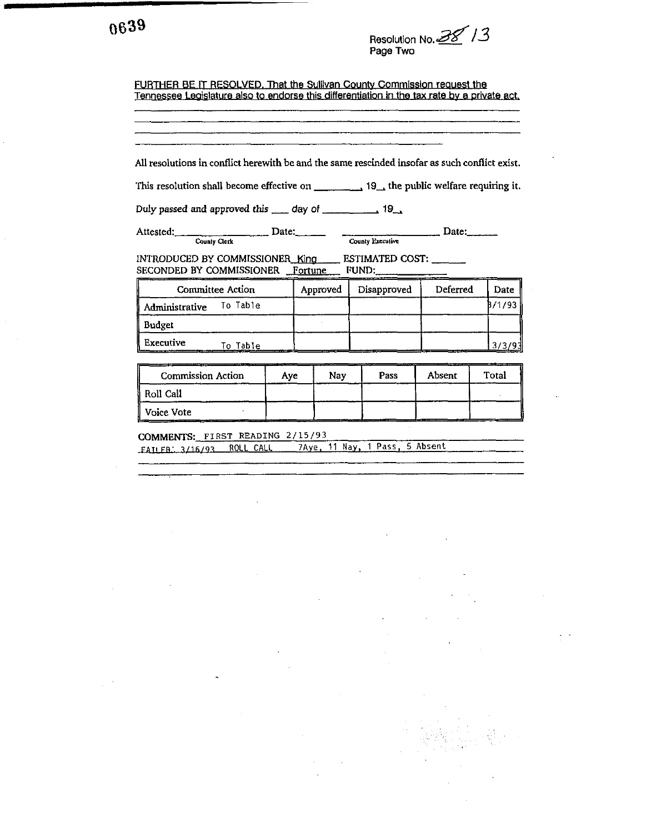| 0639 |  |
|------|--|
|------|--|

Resolution No. 38 13

FURTHER BE IT RESOLVED. That the Sullivan County Commission request the Tennessee Legislature also to endorse this differentiation in the tax rate by a private act.

| All resolutions in conflict herewith be and the same rescinded insofar as such conflict exist.<br>This resolution shall become effective on $\frac{1}{\sqrt{1-\frac{1}{\sqrt{1-\frac{1}{\sqrt{1-\frac{1}{\sqrt{1-\frac{1}{\sqrt{1-\frac{1}{\sqrt{1-\frac{1}{\sqrt{1-\frac{1}{\sqrt{1-\frac{1}{\sqrt{1-\frac{1}{\sqrt{1-\frac{1}{\sqrt{1-\frac{1}{\sqrt{1-\frac{1}{\sqrt{1-\frac{1}{\sqrt{1-\frac{1}{\sqrt{1-\frac{1}{\sqrt{1-\frac{1}{\sqrt{1-\frac{1}{\sqrt{1-\frac{1}{\sqrt{1-\frac{1}{\sqrt$ |     |          |             |                                |        |
|-------------------------------------------------------------------------------------------------------------------------------------------------------------------------------------------------------------------------------------------------------------------------------------------------------------------------------------------------------------------------------------------------------------------------------------------------------------------------------------------------|-----|----------|-------------|--------------------------------|--------|
| Duly passed and approved this example of the same of 19.                                                                                                                                                                                                                                                                                                                                                                                                                                        |     |          |             |                                |        |
| Attested: County Clerk Date: County Executive                                                                                                                                                                                                                                                                                                                                                                                                                                                   |     |          |             | $\overline{\phantom{a}}$ Date: |        |
| INTRODUCED BY COMMISSIONER_King _____ ESTIMATED COST: _______<br>SECONDED BY COMMISSIONER Fortune FUND:                                                                                                                                                                                                                                                                                                                                                                                         |     |          |             |                                |        |
| <b>Committee Action</b>                                                                                                                                                                                                                                                                                                                                                                                                                                                                         |     | Approved | Disapproved | Deferred                       | Date   |
| Administrative To Table                                                                                                                                                                                                                                                                                                                                                                                                                                                                         |     |          |             |                                | B/1/93 |
| Budget                                                                                                                                                                                                                                                                                                                                                                                                                                                                                          |     |          |             |                                |        |
| Executive<br>To Table                                                                                                                                                                                                                                                                                                                                                                                                                                                                           |     |          |             |                                | 3/3/93 |
| <b>Commission Action</b>                                                                                                                                                                                                                                                                                                                                                                                                                                                                        | Aye | Nav      | Pass        | Absent                         | Total  |
| Roll Call                                                                                                                                                                                                                                                                                                                                                                                                                                                                                       |     |          |             |                                |        |
| Voice Vote                                                                                                                                                                                                                                                                                                                                                                                                                                                                                      |     |          |             |                                |        |

COMMENTS: FIRST READING 2/15/93 FAILER. 3/16/93 ROLL CALL 7Aye, 11 Nay, 1 Pass, 5 Absent

 $\hat{\mathbf{r}}$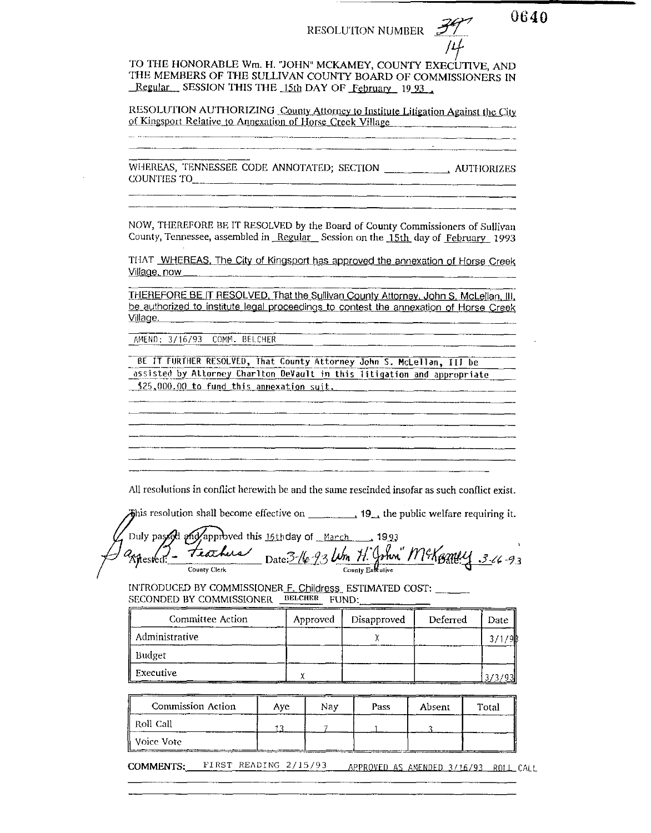and the control of the

0640

TO THE HONORABLE Wm. H. "JOHN" MCKAMEY, COUNTY EXECUTIVE, AND THE MEMBERS OF THE SULLIVAN COUNTY BOARD OF COMMISSIONERS IN Regular SESSION THIS THE 15th DAY OF February 19.93.

RESOLUTION AUTHORIZING County Attorney to Institute Litigation Against the City of Kingsport Relative to Annexation of Horse Creck Village

COUNTIES TO

NOW, THEREFORE BE IT RESOLVED by the Board of County Commissioners of Sullivan County, Tennessee, assembled in Regular Session on the 15th day of February 1993

THAT WHEREAS, The City of Kingsport has approved the annexation of Horse Creek Village, now \_\_\_

THEREFORE BE IT RESOLVED. That the Sullivan County Attorney, John S. McLellan, III, be authorized to institute legal proceedings to contest the annexation of Horse Creek Village.

AMEND: 3/16/93 COMM. BELCHER

BE IT FURTHER RESOLVED, That County Attorney John S. McLellan, III be assisted by Attorney Charlton DeVault in this litigation and appropriate \$25,000.00 to fund this annexation suit.

All resolutions in conflict herewith be and the same rescinded insofar as such conflict exist.

This resolution shall become effective on  $\qquad \qquad$ , 19, the public welfare requiring it.

approved this 16th day of March 1993 Duly passe Feathers Date: 3-16-93 Um H. John" McKerney 3-16-93 spested:

INTRODUCED BY COMMISSIONER F. Childress ESTIMATED COST: \_\_\_ \_\_ SECONDED BY COMMISSIONER BELCHER FUND:

| <b>Committee Action</b> | Approved | Disapproved | Deferred | Date |
|-------------------------|----------|-------------|----------|------|
| Administrative          |          |             |          | ۹ľ   |
| ∥ Budget-               |          |             |          |      |
| ∥ Executive             |          |             |          |      |

| Commission Action | ____<br>Ave. | Nav | Pass | Absent | Total |
|-------------------|--------------|-----|------|--------|-------|
| ∦ Roll Call       |              |     |      |        |       |
| ∥ Voice Vote⊹     |              |     |      |        |       |

COMMENTS: FIRST READING 2/15/93 APPROVED AS AMENDED 3/16/93 ROLL CALL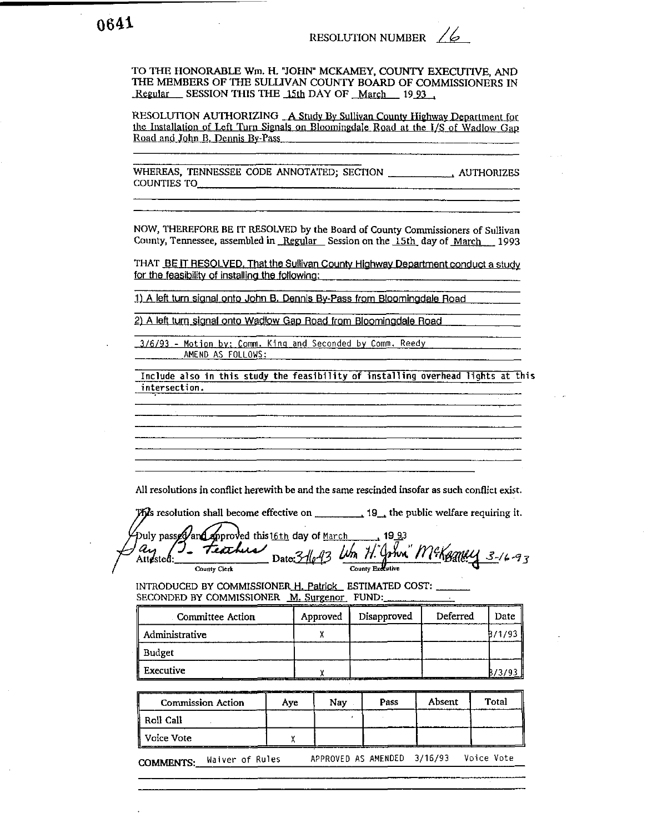TO THE HONORABLE Wm. H. "JOHN' **MCKAMEY.** COUNTY EXECUTIVE, AND THE MEMBERS OF THE SULLIVAN COUNTY BOARD OF COMMISSIONERS IN Regular SESSION THIS THE 15th DAY OF March 1993,

RESOLUTION AUTHORIZING A Study By Sullivan County Highway Department for the Installation of Left Turn Signals on Bloomingdale Road at the I/S of Wadlow Gap Road and John B. Dennis Bv-Pass

WHEREAS, TENNESSEE CODE ANNOTATED; SECTION . AUTHORIZES COUNTIES TO

NOW, THEREFORE BE IT RESOLVED by the Board of County Commissioners of Sullivan County, Tennessee, assembled in Regular Session on the 15th day of March 1993

THAT BE IT RESOLVED. That the Sullivan County Highway Department conduct a study for the feasibilitv of installina the followina:

**1)** A left turn sianal onto John **8.** Dennis Bv-Pass from Bloominadale Road

**2)** A left turn sianal onto Wadlow Gaa Road from Bloominadale Road

3/6/93 - Motion **bv:** Comm. Kinq and Seconded **by** Comm. Reedy AMEND AS FOLLOWS:

Include also in this study the feasibility of installing overhead lights at this intersection.

All resolutions in conflict herewith be and the same rescinded insofar as such conflict exist.

**The set of the public welfare requiring it.** The public welfare requiring it.

Date: We resolutions in contlict herewith be and the same rescinded insolar as such contlict exists<br>
Unity passed and approved this 16th day of March 19 33<br>
County Certested: Date:  $\frac{3}{\sqrt{2}}$  Date:  $\frac{3}{\sqrt{2}}$  Um  $\frac{1}{\sqrt{2}}$ 

| Committee Action | Approved | Disapproved | Deferred | Date           |
|------------------|----------|-------------|----------|----------------|
| Administrative   |          |             |          | B/1/93         |
| Budget           |          |             |          |                |
| l Executive      |          |             |          | $\frac{6}{39}$ |

|                  | <b>Commission Action</b> | Aye | Nav                         | Pass | Absent | Total      |
|------------------|--------------------------|-----|-----------------------------|------|--------|------------|
| ll Roll Call     |                          |     |                             |      |        |            |
| ∦ Voice Vote     |                          |     |                             |      |        |            |
| <b>COMMENTS:</b> | Waiver of Rules          |     | APPROVED AS AMENDED 3/16/93 |      |        | Voice Vote |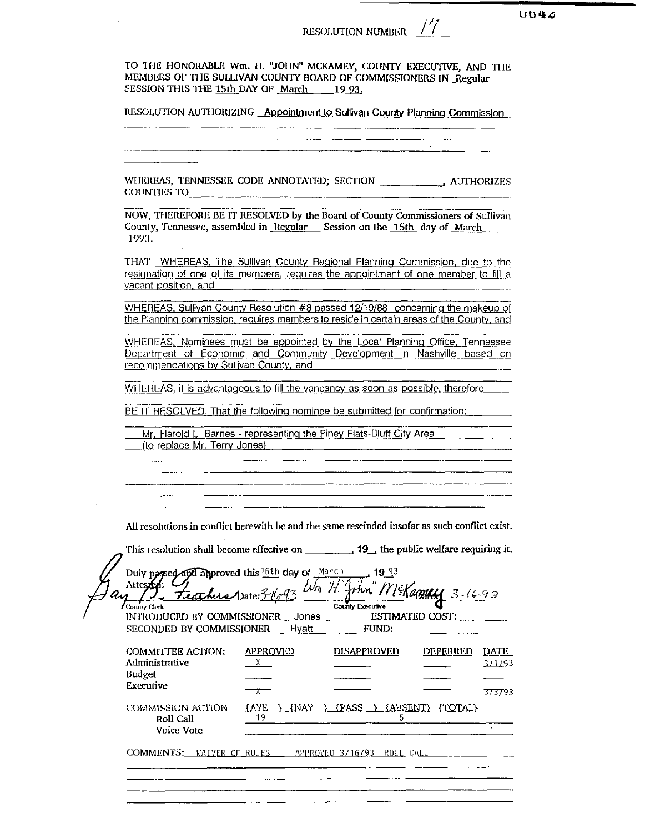RESOLUTION NUMBER / /

 $U042$ 

TO THE HONORABLE Wm. H. "JOHN" MCKAMEY, COUNTY EXECUTIVE, AND THE MEMBERS OF THE SULLIVAN COUNTY BOARD OF COMMISSIONERS IN Regular SESSION THIS THE 15th DAY OF March 1993.

RESOLUTION AUTHORIZING Appointment to Sullivan County Planning Commission

**COUNTIES TO** 

NOW, THEREFORE BE IT RESOLVED by the Board of County Commissioners of Sullivan County, Tennessee, assembled in Regular Session on the 15th day of March 1993.

THAT WHEREAS, The Sullivan County Regional Planning Commission, due to the resignation of one of its members, requires the appointment of one member to fill a vacant position, and

WHEREAS, Sullivan County Resolution #8 passed 12/19/88 concerning the makeup of the Planning commission, requires members to reside in certain areas of the County, and

WHEREAS, Nominees must be appointed by the Local Planning Office, Tennessee Department of Economic and Community Development in Nashville based on recommendations by Sullivan County, and

WHEREAS, it is advantageous to fill the vancancy as soon as possible, therefore

BE IT RESOLVED, That the following nominee be submitted for confirmation:

Mr. Harold L. Barnes - representing the Piney Flats-Bluff City Area (to replace Mr. Terry Jones)

All resolutions in conflict herewith be and the same rescinded insofar as such conflict exist.

Duly paged and approved this 16th day of March 1993<br>Attessed: Teathus Date: 3-1693 Un H. John MeKappel County Executive County Clerk INTRODUCED BY COMMISSIONER \_\_ Jones ESTIMATED COST: SECONDED BY COMMISSIONER \_ Hyatt **FUND: COMMITTEE ACTION: APPROVED DISAPPROVED** DEFERRED DATE Administrative  $X$ 3/1/93 **Budget** Executive  $\rightarrow$ 373793  $\{AYE \}$   $\{NAY \}$   $\{PASS \}$   $\{ABSENT\}$   $\{TOTAL\}$ **COMMISSION ACTION** -19 Roll Call  $\frac{5}{2}$ Voice Vote COMMENTS: WAIVER OF RULES APPROVED 3/16/93 ROLL CALL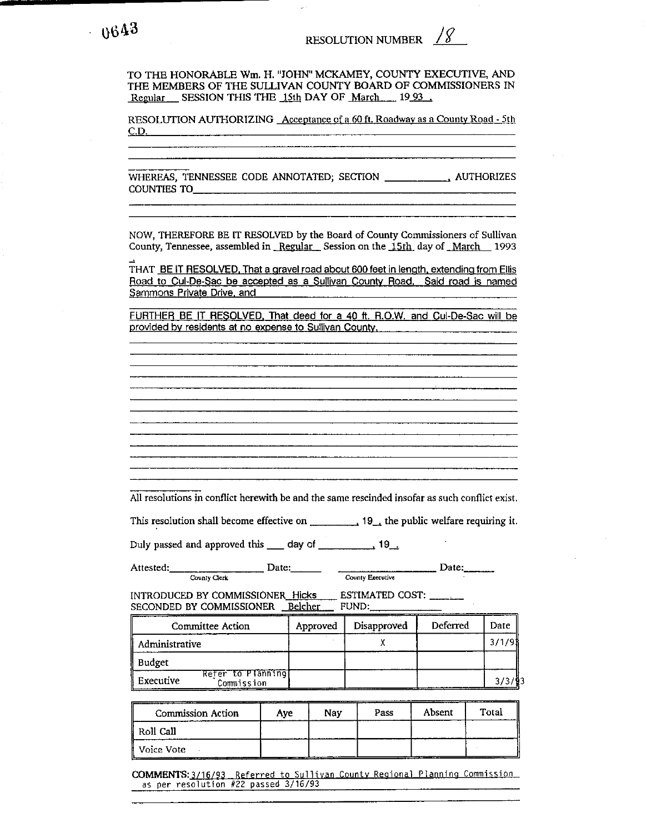TO THE HONORABLE Wm. H. "JOHN" MCKAMEY, COUNTY EXECUTIVE, AND THE MEMBERS OF THE SULLIVAN COUNTY BOARD OF COMMISSIONERS IN Regular SESSION THIS THE 15th DAY OF March 1993.

RESOLUTION AUTHORIZING Acceotance of a 60 ft. Roadwav as a Countv Road - 5th  $CD.$ 

WHEREAS, TENNESSEE CODE ANNOTATED; SECTION **. AUTHORIZES** COUNTIES TO

NOW, THEREFORE BE IT RESOLVED by the Board of County Commissioners of Sullivan County, Tennessee, assembled in Regular Session on the 15th day of March 1993

THAT BE IT RESOLVED. That a gravel road about 600 feet in length, extending from Ellis Road to Cul-De-Sac be accepted as a Sullivan Countv Road. Said road is named Sammons Private Drive, and

FURTHER BE IT RESOLVED. That deed for a 40 ft. R.O.W. and Cui-De-Sac will be provided bv residents at **no** expense to Sullivan Countv.

All resolutions in conflict herewith be and the same rescinded insofar as such conflict exist.

This resolution shall become effective on  $\frac{1}{1-\frac{1}{2}}$  the public welfare requiring it.

Attested: County Clerk Date: Date: County Executive Date: **County Executive** 

All resolutions in conflict herewith be and the same rescinded insofar as such conflict ex<br>
This resolution shall become effective on  $\frac{19}{\text{Couly}}$ , the public welfare requiring<br>
Duly passed and approved this  $\frac{19}{\text{C$ 

|                | Committee Action                | Approved | Disapproved | Deferred | Date   |
|----------------|---------------------------------|----------|-------------|----------|--------|
| Administrative |                                 |          |             |          | 3/1/91 |
| Budget         |                                 |          |             |          |        |
| ll Executive   | Refer to Planning<br>Commission |          |             |          |        |

| <b>Commission Action</b> | Ave | Nav | Pass | Absent | Total |
|--------------------------|-----|-----|------|--------|-------|
| ∥ Roll Call              |     |     |      |        |       |
| Voice Vote               |     |     |      |        |       |

COMMENTS: 3/16/93 Referred to Sullivan County Regional Planning Commission as per resolution  $#22$  passed  $3/16/93$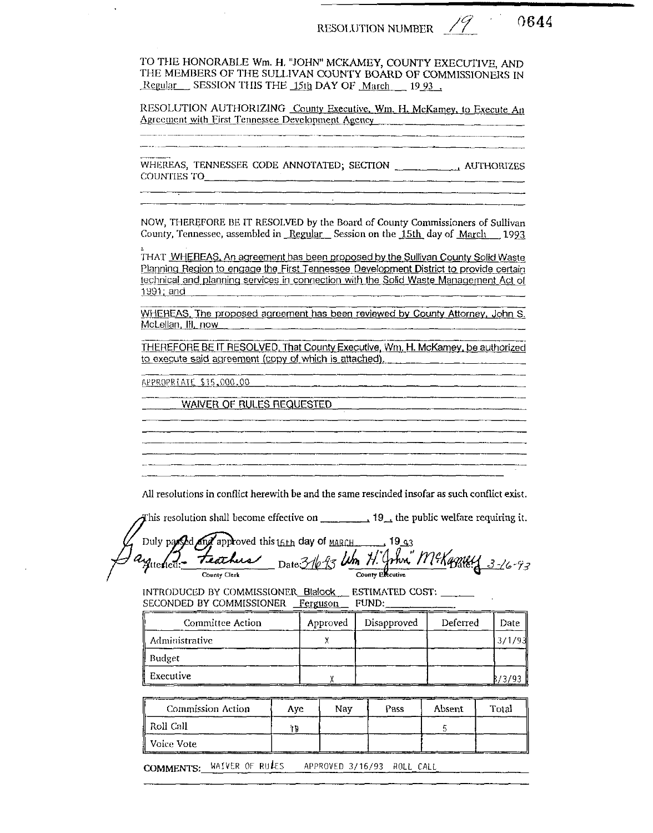RESOLUTION NUMBER  $\frac{1}{2}$ 

0644

TO THE HONORABLE Wm. H. "JOHN" MCKAMEY, COUNTY EXECUTIVE, AND THE MEMBERS OF THE SULLIVAN COUNTY BOARD OF COMMISSIONERS IN Regular SESSION THIS THE 15th DAY OF March 1993.

RESOLUTION AUTHORIZING County Executive, Wm. H. McKamey, to Execute An Agreement with First Tennessee Development Agency [10]

COUNTIES TO  $\qquad \qquad \qquad$ 

NOW, THEREFORE BE IT RESOLVED by the Board of County Commissioners of Sullivan County, Tennessee, assembled in Regular Session on the 15th day of March 1993

THAT WHEREAS, An agreement has been proposed by the Sullivan County Solid Waste Planning Region to engage the First Tennessee Development District to provide certain technical and planning services in connection with the Solid Waste Management Act of 1991; and

WHEREAS, The proposed agreement has been reviewed by County Attorney, John S. McLellan, Ill, now

THEREFORE BE IT RESOLVED. That County Executive, Wm. H. McKamey, be authorized to execute said agreement (copy of which is attached).

APPROPRIATE \$15,000,00

**WAIVER OF RULES REQUESTED** 

All resolutions in conflict herewith be and the same rescinded insofar as such conflict exist.

This resolution shall become effective on  $\frac{1}{2}$  19, the public welfare requiring it.

Duly parced and approved this tath day of MARCH 19 a3 Date 316 93 Um H. John. McKapaley 3-16-93 teachers Auelied: County Executive County Clerk

INTRODUCED BY COMMISSIONER\_Blalock ESTIMATED COST: \_\_\_\_ SECONDED BY COMMISSIONER Ferguson FUND:

| <b>Committee Action</b> | Approved | Disapproved | Deferred | Date   |
|-------------------------|----------|-------------|----------|--------|
| Administrative          |          |             |          | 3/1/93 |
| Budget                  |          |             |          |        |
| Executive               |          |             |          |        |

| Commission Action | Ave | Nav | Pass | Absent | Total |
|-------------------|-----|-----|------|--------|-------|
| Roll Call         | 19  |     |      |        |       |
| l Voice Vote      |     |     |      |        |       |

COMMENTS: WAIVER OF RULES APPROVED 3/16/93 ROLL CALL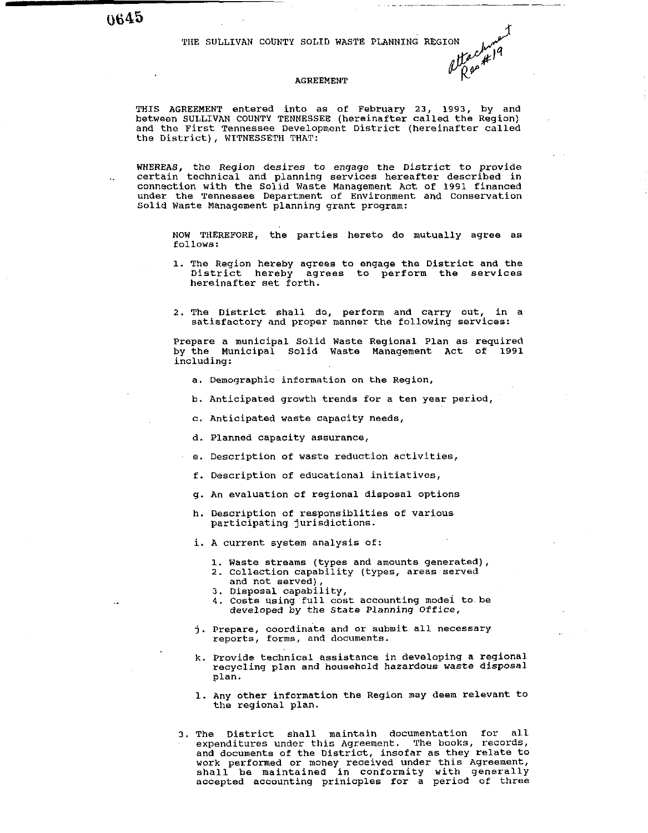THE SULLIVAN COUNTY SOLID WASTE PLANNING REGION after the sullivan county solid was regionally a the county

#### AGREEMENT

THIS AGREEMENT entered into as of February 23, 1993, by and between SULLIVAN COUNTY TENNESSEE (hereinafter called the Region) and the First Tennessee Development District (hereinafter called the District), WITNESSETH THAT:

WHEREAS, the Region desires to engage the District to provide certain technical and planning services hereafter described in connection with the Solid Waste Management Act or 1991 financed under the Tennessee Department of Environment and Conservation Solid Waste Management planning grant program:

NOW THEREFORE, the parties hereto do mutually agree as follows:

- 1. The Region hereby agrees to engage the District and the District hereby agrees to perform the services hereinafter set forth.
- 2. The District shall do, perform and carry out, in a satisfactory and proper manner the following services:

Prepare a municipal Solid Waste Regional Plan as required by the Municipal Solid Waste Management Act of 1991 including:

- a. Demographic information on the Region,
- b. Anticipated growth trends for a ten year period,
- c. Anticipated waste capacity needs,
- d. Planned capacity assurance,
- e. Description of waste reduction activities,
- f. Description of educational initiatives,
- g. An evaluation of regional disposal options
- h. Description of responsiblities of various participating jurisdictions.

i. A current system analysis of:

- 1. Waste streams (types and amounts generated),
- 2. Collection capability (types, areas served and not served),
- 3. Disposal capability,
- 4. Costs using full cost accounting modei tobe developed by the State Planning Office,
- j. Prepare, coordinate and or submit all necessary reports, forms, and documents.
- k. Provide technical assistance in developing a regional recycling plan and household hazardous waste disposal plan.
- 1. Any other information the Region may deem relevant to the regional plan.
- 3. The District shall maintain documentation for all expenditures under this Agreement. The books, records, and documents of the District, insofar as they relate to work performed or money received under this Agreement, shall be maintained in conformity with generally accepted accounting prinicples for a period of three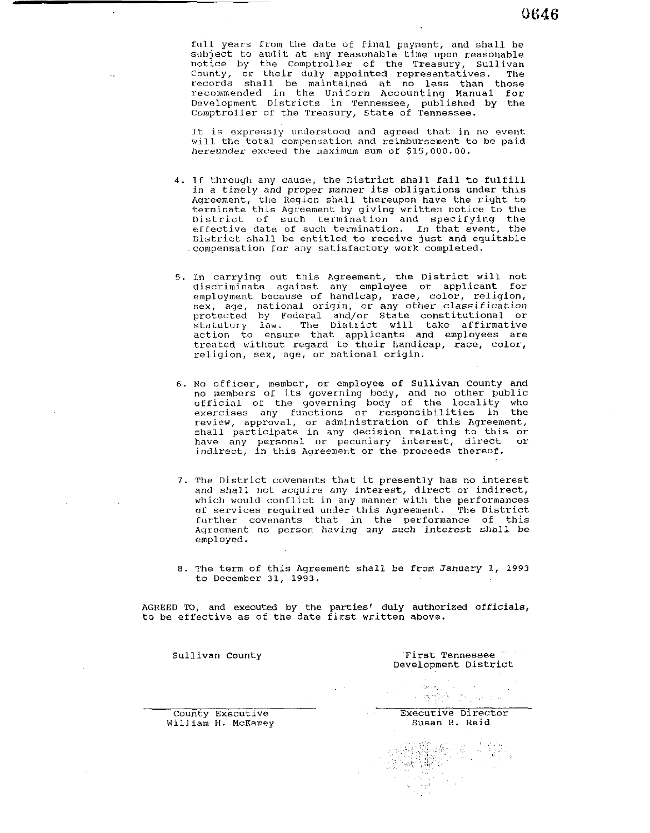full years from the date of final payment, and shall be subject to audit at any reasonable time upon reasonable notice by the Comptroller of the Treasury, Sullivan County, or their duly appointed representatives. The records shall be maintained at no less than those recommended in the Uniform Accounting Manual for Development Districts in Tennessee, published by the Comptroller of the Treasury, State of Tennessee.

It is expressly understood and agreed that in no event will the total compensation and reimbursement to be paid hereunder exceed the maximum sum of \$15,000.00.

- 4. If through any cause, the District shall fail to fulfill in a timely and proper manner its obligations under this Agreement, the Region shall thereupon have the right to terminate this Agreement by giving written notice to the Uistrict of such termination and specifying the etfective date of such termination. In that event, the District shall be entitled to receive just and equitable .compensation for any satisfactory work completed.
- 5. In carrying out this Agreement, the District will not discriminate against any employee or applicant for employment because of handicap, race, color, religion, sex, age, national origin, or any other classification protected by Federal and/or State constitutional or statutory law. The District will take affirmative action to ensure that applicants and employees are treated without regard to their handicap, race, color, religion, sex, age, or national origin.
- **6.** No officer, member, or employee of Sullivan County and no members of its governing hody, and no other public official of the governing body of the locality who exercises any functions or responsibilities in the review, approval, or administration of this Agreement, shall participate in any decision relating to this or have any personal or pecuniary interest, direct or indirect, in this Agreement or the proceeds thereof.
- 7. The District covenants that it presently has no interest and shall not acquire any interest, direct or indirect, which would conflict in any manner with the performances of services required under this Agreement. The District turther covenants that in the performance of this Agreement no person having any such interest shall be employed.
- 8. The term of this Agreement shall be from January 1, 1993 to December 31, 1993.

AGREED TO, and executed by the parties' duly authorized officials, to be effective as of the date first written above.

Sullivan County **First Tennessee** Development District

William H. McKamey

County Executive County Executive Director<br>
Villiam H. McKamey Milliam R. Reid

나 생발은 하나의

 $\omega_1$  is  $\omega_2$ 

解)<br>行い

a di S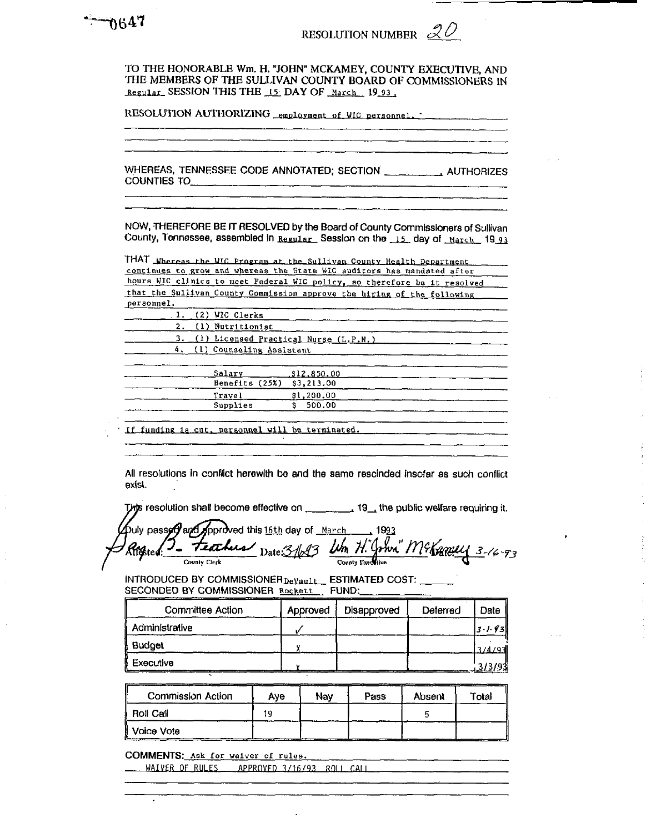TO THE HONORABLE Wm. H. "JOHN" MCKAMEY, COUNTY EXECUTIVE, AND THE MEMBERS OF THE SULLIVAN COUNTY BOARD OF COMMISSIONERS IN Regular SESSION THIS THE 15: DAY OF March 19 93.

RESOLUTION AUTHORIZING employment of WIC personnel.

**COUNTIES TO** 

NOW, THEREFORE BE IT RESOLVED by the Board of County Commissioners of Sullivan County, Tennessee, assembled in Regular. Session on the 15 day of March 19 93

THAT Whereas the WIG Program at the Sullivan County Health Department continues to grow and whereas the State WIC auditors has mandated after hours WIC clinics to meet Federal WIC policy, so therefore be it resolved that the Sullivan County Commission approve the hiring of the following nersonnel

| --------- |                                          |                     |
|-----------|------------------------------------------|---------------------|
|           | $1.$ (2) WIC Clerks                      |                     |
|           | 2. (1) Nutritionist                      |                     |
|           | 3. (1) Licensed Practical Nurse (L.P.N.) |                     |
|           | 4. (1) Counseling Assistant              |                     |
|           |                                          |                     |
|           | Salary                                   | $\_$ , $$12,850,00$ |
|           | Benefits (25%) \$3,213.00                |                     |
|           | Travel                                   | \$1,200.00          |
|           | Supplies                                 | 500.00              |
|           |                                          |                     |

If funding is cut, personnel will be terminated.

All resolutions in conflict herewith be and the same rescinded insofar as such conflict exist.

puly passed and Approved this 16th day of March 1993<br>Righted: 2 - Feathus Date: 3/183 Um H. Grhvn." M& Canally 3-16-93

INTRODUCED BY COMMISSIONER DeVault\_ESTIMATED COST: \_\_\_ SECONDED BY COMMISSIONER Rockett FUND:

| <b>Committee Action</b> | Approved | Disapproved | Deferred | Date     |
|-------------------------|----------|-------------|----------|----------|
| Administrative          |          |             |          | 13.1.93h |
| Budget                  |          |             |          | 3/4/97   |
| Executive               |          |             |          |          |

| <b>Commission Action</b> | Ave | Nav | Pass | Absent | Total |
|--------------------------|-----|-----|------|--------|-------|
| <b>Roll Call</b>         | 19. |     |      |        |       |
| Voice Vote               |     |     |      |        |       |

COMMENTS: Ask for waiver of rules.

WAIVER OF RULES APPROVED 3/16/93 ROLL CALL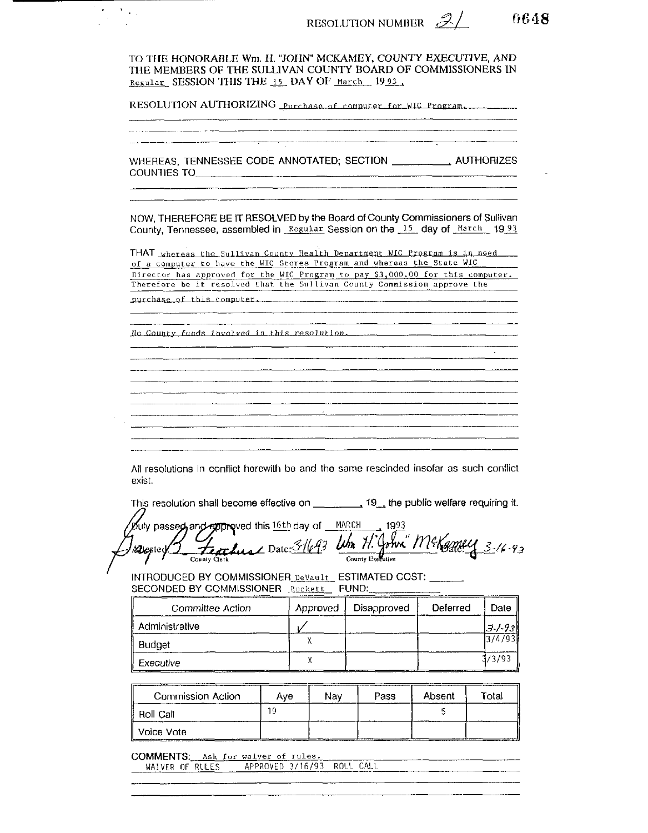RESOLUTION NUMBER  $\mathscr{Z}/$ 

<u> 1980 - Johann Harry Barn, mars eta erroman erroman erroman eza</u>

6648

TO THE HONORABLE Wm. H. "JOHN" MCKAMEY, COUNTY EXECUTIVE, AND THE MEMBERS OF THE SULLIVAN COUNTY BOARD OF COMMISSIONERS IN Regular SESSION THIS THE 15 DAY OF March 1993.

RESOLUTION AUTHORIZING Purchase of computer for WIC Program.

.<br>De la companya de la companya de la companya de la companya de la companya de la companya de la companya de la WHEREAS, TENNESSEE CODE ANNOTATED; SECTION \_\_\_\_\_\_\_\_\_, AUTHORIZES NOW. THEREFORE BE IT RESOLVED by the Board of County Commissioners of Sullivan

THAT whereas the Sullivan County Health Department WIC Program is in need... of a computer to have the WIC Stores Program and whereas the State WIC Director has approved for the WIC Program to pay \$3,000.00 for this computer.<br>Therefore be it resolved that the Sullivan County Commission approve the

County, Tennessee, assembled in Regular Session on the 15 day of March 1993

purchase of this computer.

 $\Delta \sim 1$ 

No County funds involved in this resolution.

<u> 1980 - Andrea State Andrea State Andrea State Andrea State Andrea Sta</u> and the control of the control of the control of the control of the control of the control of the control of the <u> 1980 - Jan Barnett, fransk politik (f. 1980)</u> 

All resolutions in conflict herewith be and the same rescinded insofar as such conflict exist.

This resolution shall become effective on  $\qquad \qquad$ , 19, the public welfare requiring it.

Duly passed, and epproved this 16th day of MARCH 1993 Sincephone uns 2000, 0. The H. John McKamey 3-16-93 Resepted 3

INTRODUCED BY COMMISSIONER DeVault\_ESTIMATED COST: \_\_\_\_\_\_ SECONDED BY COMMISSIONER Rockett FUND:

| Committee Action | Approved | Disapproved | Deferred | Date   |
|------------------|----------|-------------|----------|--------|
| Administrative   |          |             |          | J / 93 |
| Budget           |          |             |          | 3/4/93 |
| Executive        |          |             |          | 1/3/93 |

| Commission Action<br><b>START COMPOSITION</b> | Ave | Nav | Pass | Absent | Total |
|-----------------------------------------------|-----|-----|------|--------|-------|
| : Roll Call                                   | 10  |     |      |        |       |
| Voice Vote<br>____<br>______                  |     |     |      |        |       |

**Contract** 

COMMENTS: Ask for waiver of rules.

| APPROVED 3/16/93 ROLL CALL<br>WAIVER OF RULES<br>________________ | -------- | -------- |  |
|-------------------------------------------------------------------|----------|----------|--|
|                                                                   |          |          |  |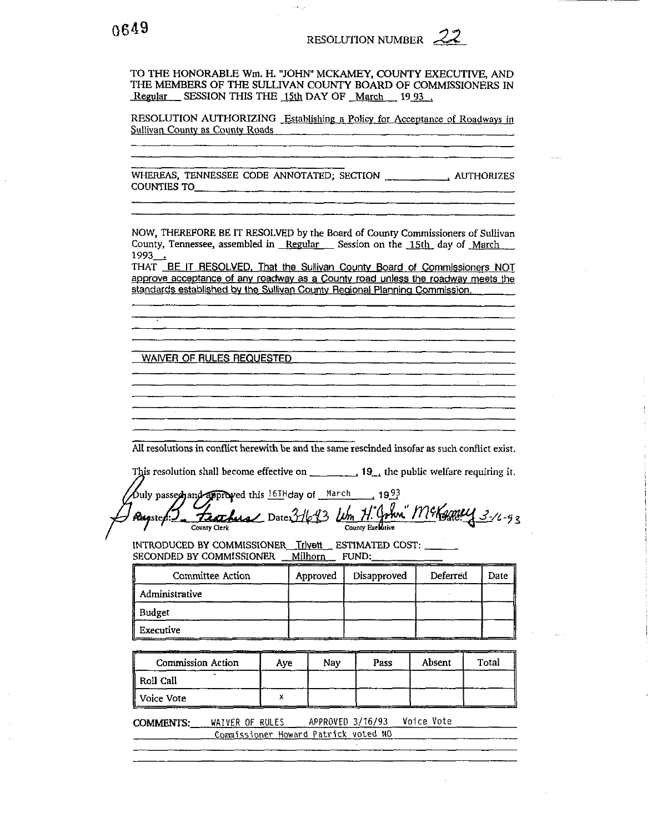TO THE HONORABLE Wm. H. "JOHN" MCKAMEY, COUNTY EXECUTIVE, AND THE MEMBERS OF THE SULLIVAN COUNTY BOARD OF COMMISSIONERS IN Regular SESSION THIS THE 15th DAY OF March 1993.

RESOLUTION AUTHORIZING Establishing a Policy for Acceptance of Roadways in Sullivan County as County Roads

**COUNTIES TO** 

NOW, THEREFORE BE IT RESOLVED by the Board of County Commissioners of Sullivan County, Tennessee, assembled in Regular Session on the 15th day of March 1993.

THAT BE IT RESOLVED, That the Sullivan County Board of Commissioners NOT approve acceptance of any roadway as a County road unless the roadway meets the standards established by the Sullivan County Regional Planning Commission.

WAIVER OF RULES REQUESTED

All resolutions in conflict herewith be and the same rescinded insofar as such conflict exist.

This resolution shall become effective on  $\frac{1}{2}$  = 19. the public welfare requiring it.

Ouly passed and approved this  $16$ H day of March 1993 Feathers Date: 31693 Wm H. John" McKemey 3-16-93 Russter. County Exclusive County Clerk

INTRODUCED BY COMMISSIONER Trivett ESTIMATED COST: SECONDED BY COMMISSIONER Milhorn FUND:

| Committee Action | Approved | Disapproved | Deferred | Date |
|------------------|----------|-------------|----------|------|
| Administrative   |          |             |          |      |
| Budget           |          |             |          |      |
| Executive        |          |             |          |      |

| Commission Action | Ave | Nav | Pass | Absent | Total |
|-------------------|-----|-----|------|--------|-------|
| Roll Call         |     |     |      |        |       |
| Voice Vote        |     |     |      |        |       |

APPROVED 3/16/93 Voice Vote COMMENTS: WAIVER OF RULES Commissioner Howard Patrick voted NO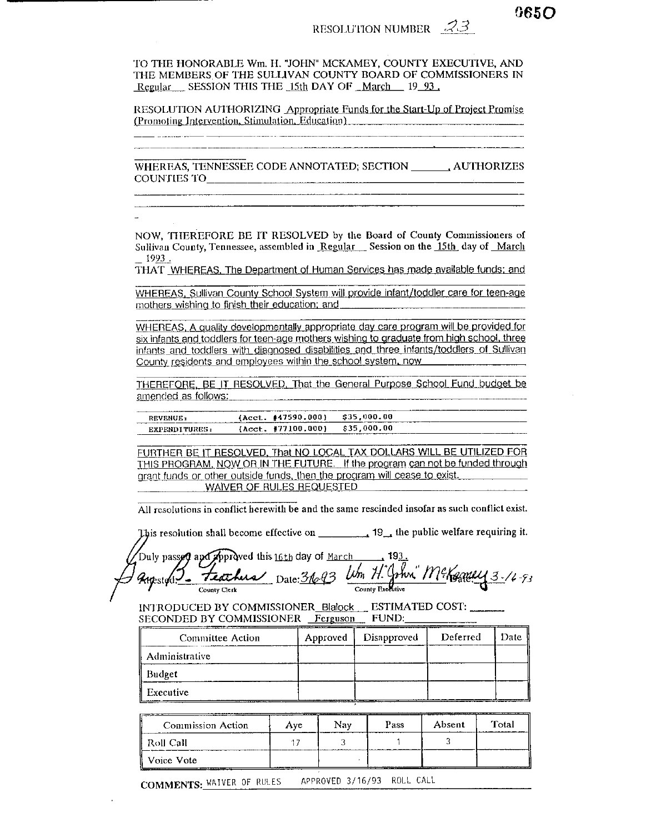RESOLUTION NUMBER  $\mathscr{B}3$ 

TO THE HONORABLE Wm. H. "JOHN" MCKAMEY, COUNTY EXECUTIVE, AND THE MEMBERS OF THE SULLIVAN COUNTY BOARD OF COMMISSIONERS IN Regular SESSION THIS THE 15th DAY OF March 19 93.

RESOLUTION AUTHORIZING Appropriate Funds for the Start-Up of Project Promise (Promoting Intervention, Stimulation, Education)

WHEREAS, TENNESSEE CODE ANNOTATED; SECTION \_\_\_\_\_\_\_\_, AUTHORIZES COUNTIES TO **COUNTIES** TO

NOW, THEREFORE BE IT RESOLVED by the Board of County Commissioners of Sullivan County, Tennessee, assembled in Regular Session on the 15th day of March 1993.

THAT WHEREAS. The Department of Human Services has made available funds; and

WHEREAS, Sullivan County School System will provide infant/toddler care for teen-age mothers wishing to finish their education; and

WHEREAS, A quality developmentally appropriate day care program will be provided for six infants and toddlers for teen-age mothers wishing to graduate from high school, three infants and toddlers with diagnosed disabilities and three infants/toddlers of Sullivan County residents and employees within the school system, now

THEREFORE, BE IT RESOLVED. That the General Purpose School Fund budget be amended as follows:

| <b>REVENUE:</b> | (A <sub>cct.</sub> #47590.000) | \$35,000.00                                |  |
|-----------------|--------------------------------|--------------------------------------------|--|
| EXPENDITURES:   | ${Acct. 177100.0001}$          | \$35,000.00<br>___________________________ |  |

FURTHER BE IT RESOLVED, That NO LOCAL TAX DOLLARS WILL BE UTILIZED FOR THIS PROGRAM, NOW OR IN THE FUTURE. If the program can not be funded through grant funds or other outside funds, then the program will cease to exist. WAIVER OF RULES REQUESTED

All resolutions in conflict herewith be and the same rescinded insofar as such conflict exist.

This resolution shall become effective on \_\_\_\_\_\_\_\_\_\_\_\_\_ 19\_\_\_ the public welfare requiring it.

Duly passed and Approved this 16th day of <u>March 193.</u><br>Augusture <del>Teachers</del> Date: 31093 Um H. John McKganey 3-16-93

INTRODUCED BY COMMISSIONER\_Blaiock \_\_ ESTIMATED COST: \_\_\_\_\_\_ SECONDED BY COMMISSIONER Ferguson FUND:

| Committee Action | Approved | Disapproved | Deferred | Date |
|------------------|----------|-------------|----------|------|
| Administrative   |          |             |          |      |
| Budget           |          |             |          |      |
| Executive        |          |             |          |      |

| Commission Action | Ave | Nav | Pass | Absent | Total |
|-------------------|-----|-----|------|--------|-------|
| -Roll Call        |     |     |      |        |       |
| Voice Vote        |     |     |      |        |       |

COMMENTS: WAIVER OF RULES APPROVED 3/16/93 ROLL CALL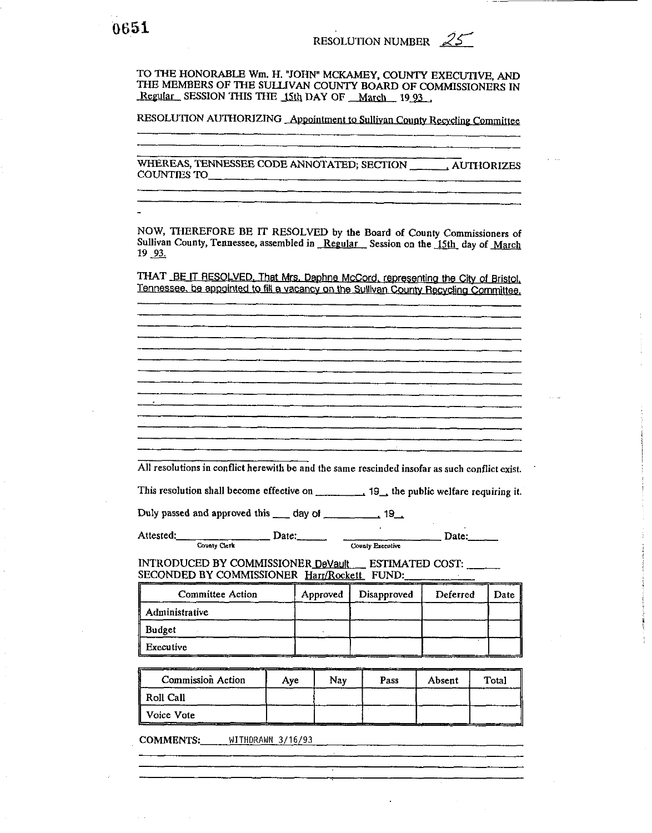TO THE HONORABLE Wm. H. "JOHN" MCKAMEY, COUNTY EXECUTIVE, AND THE MEMBERS OF THE SULLIVAN COUNTY BOARD OF COMMISSIONERS IN Regular SESSION THIS THE 15th DAY OF March 19 93

RESOLUTION AUTHORIZING Appointment to Sullivan County Recycling Committee

**COUNTIES TO** 

NOW, THEREFORE BE IT RESOLVED by the Board of County Commissioners of Sullivan County, Tennessee, assembled in Regular Session on the 15th day of March 19 93.

THAT BE IT RESOLVED, That Mrs. Daphne McCord, representing the City of Bristol. Tennessee, be appointed to fill a vacancy on the Sullivan County Recycling Committee,

All resolutions in conflict herewith be and the same rescinded insofar as such conflict exist.

 $\frac{Date:}{Value}$  County Executive Attested: County Clerk

 $\Box$  Date:

INTRODUCED BY COMMISSIONER DeVault ESTIMATED COST: SECONDED BY COMMISSIONER Harr/Rockett FUND:

| <b>Committee Action</b> | Approved | Disapproved | Deferred | Date |
|-------------------------|----------|-------------|----------|------|
| Administrative          |          |             |          |      |
| <b>Budget</b>           |          |             |          |      |
| Executive               |          |             |          |      |

Commission Action Nay Pass Total  $Aye$ Absent Roll Call Voice Vote

COMMENTS: WITHDRAWN 3/16/93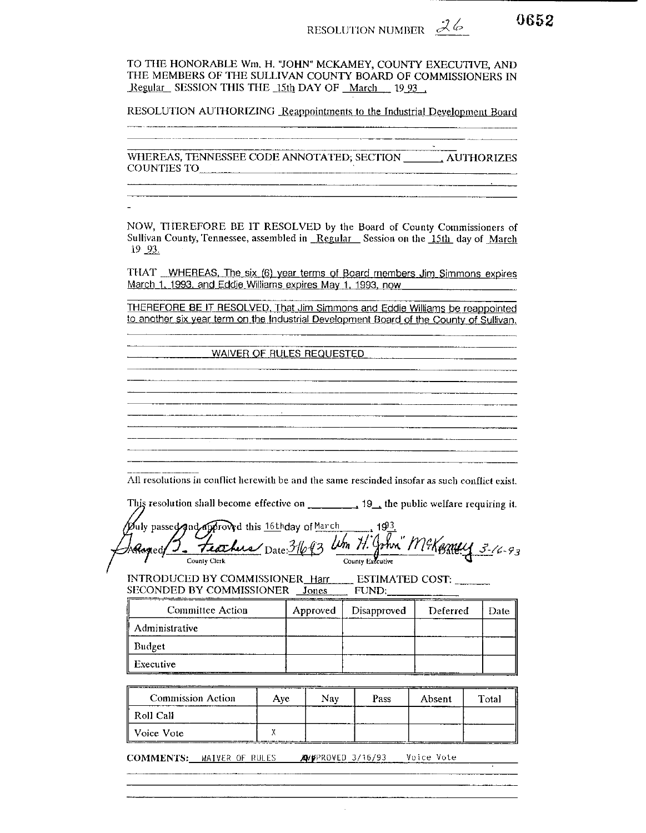RESOLUTION NUMBER  $\mathcal{Z}\phi$ 

TO THE HONORABLE Wm, H. "JOHN" MCKAMEY, COUNTY EXECUTIVE, AND THE MEMBERS OF THE SULLIVAN COUNTY BOARD OF COMMISSIONERS IN Regular SESSION THIS THE 15th DAY OF March 19 93

RESOLUTION AUTHORIZING Reappointments to the Industrial Development Board

WHEREAS, TENNESSEE CODE ANNOTATED; SECTION \_\_\_\_\_\_\_\_\_ AUTHORIZES COUNTIES TO

NOW, THEREFORE BE IT RESOLVED by the Board of County Commissioners of Sullivan County, Tennessee, assembled in Regular Session on the 15th day of March 19 93.

THAT WHEREAS, The six (6) year terms of Board members Jim Simmons expires March 1, 1993, and Eddie Williams expires May 1, 1993, now

THEREFORE BE IT RESOLVED, That Jim Simmons and Eddie Williams be reappointed to another six year term on the Industrial Development Board of the County of Sullivan.

WAIVER OF RULES REQUESTED <u> 1980 - Jan Alexandro III, primeira esta</u>

All resolutions in conflict herewith be and the same rescinded insofar as such conflict exist.

Duly passed and approved this 16thday of March 193. Adoptof J. Frachus Date 31693 Um H. John McKerney 3-16-93

INTRODUCED BY COMMISSIONER\_Harr ESTIMATED COST: SECONDED BY COMMISSIONER Jones FUND:

| Committee Action  | Approved   | Disapproved | Deferred | Date |
|-------------------|------------|-------------|----------|------|
| Administrative    |            |             |          |      |
| Budget            |            |             |          |      |
| Executive<br>---- | __________ |             |          |      |

| <b>Commission Action</b> | Ave | Nav | Pass | Absent | Total |
|--------------------------|-----|-----|------|--------|-------|
| Roll Call                |     | --- |      |        |       |
| Voice Vote               |     |     |      |        |       |

COMMENTS: WAIVER OF RULES MYPROVED 3/16/93 Voice Vote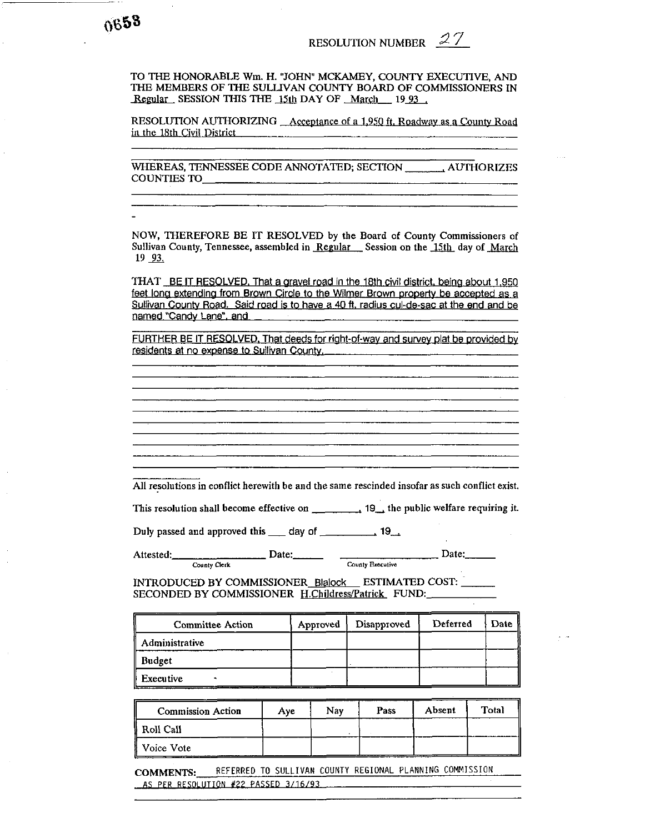TO THE HONORABLE Wm. H. "JOHN" MCKAMEY, COUNTY EXECUTIVE, AND THE MEMBERS OF THE SULLIVAN COUNTY BOARD OF COMMISSIONERS IN TO THE HONORABLE Wm. H. "JOHN" MCKAMEY, COUNTY EXTHE MEMBERS OF THE SULLIVAN COUNTY BOARD OF COM<br>Regular\_SESSION THIS THE <u>15th</u> DAY OF <u>\_March\_\_\_</u> 19<u>\_93\_</u>

RESOLUTION AUTHORIZING \_Acceptance of a 1,950 ft. Roadway as a County Road in the 18th Civil District

WHEREAS, TENNESSEE CODE ANNOTATED; SECTION . AUTHORIZES COUNTIES TO

NOW, THEREFORE BE IT RESOLVED by the Board of County Commissioners of Sullivan County, Tennessee, assembled in Regular Session on the 15th day of March **<sup>19</sup>**93.

THAT BE IT RESOLVED. That a gravel road in the 18th civil district, being about 1,950 feet long extending from Brown Circle to the Wilmer Brown property be accepted as a Sullivan Countv Road. Said road is to have a **40** ft. radius cul-de-sac at the end and bg named "Candv Lane". and

FURTHER BE IT RESOLVED. That deeds for right-of-way and survey plat be provided by residents at no exoense to Sullivan Countv.

All resolutions in conflict herewith be and the same rescinded insofar as such conflict exist.

This resolution shall become effective on . 19,the public welfare requiring it.

All resolutions in conflict herewith be and the same rescinded<br>This resolution shall become effective on  $\frac{19}{4}$  the<br>Duly passed and approved this  $\frac{19}{4}$  day of  $\frac{19}{4}$ 

Attested: County Clerk Date: Date: County **Executive Date:** 

INTRODUCED BY COMMISSIONER Blalock ESTIMATED COST: - SECONDED BY COMMISSIONER H.Childress/Patrick FUND:

| <b>Committee Action</b> | Approved | Disapproved | Deferred | Date |
|-------------------------|----------|-------------|----------|------|
| Administrative          |          |             |          |      |
| <b>Budget</b>           |          |             |          |      |
| Executive               |          |             |          |      |

| <b>Commission Action</b> | Ave | Nav | Pass | Absent | Total |
|--------------------------|-----|-----|------|--------|-------|
| Roll Call                |     |     |      |        |       |
| # Voice Vote             |     |     |      |        |       |

**COMMENTS:** REFERRED TO SULLIVAN COUNTY REGIONAL PLANNING COMMISSION AS PER RESOLUTION #22 PASSED 3/16/93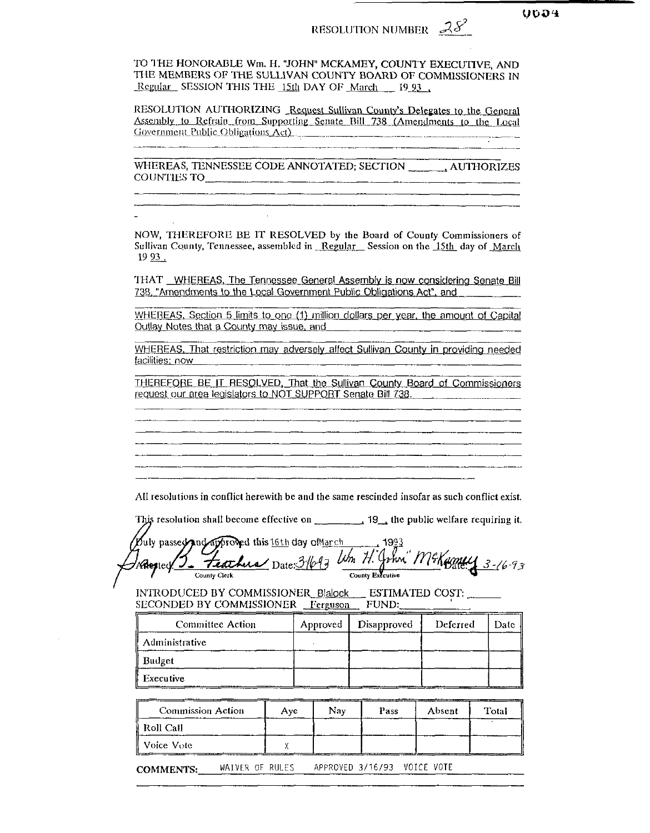# RESOLUTION NUMBER  $28^2$

RESOLUTION AUTHORIZING Request Sullivan County's Delegates to the General Assembly to Refrain from Supporting Senate Bill 738 (Amendments to the Local Government Public Obligations Act)

WHEREAS, TENNESSEE CODE ANNOTATED; SECTION AUTHORIZES COUNTIES TO AND THE RESERVE TO A RESERVE TO A REPORT OF THE RESERVE OF THE RESERVE OF THE RESERVE OF THE RESERVE OF THE RESERVE OF THE RESERVE OF THE RESERVE OF THE RESERVE OF THE RESERVE OF THE RESERVE OF THE RESERVE OF T

NOW, THEREFORE BE IT RESOLVED by the Board of County Commissioners of Sullivan County, Tennessee, assembled in Regular Session on the 15th day of March 19 93.

THAT WHEREAS, The Tennessee General Assembly is now considering Senate Bill 738, "Amendments to the Local Government Public Obligations Act", and

WHEREAS, Section 5 limits to one (1) million dollars per year, the amount of Capital Outlay Notes that a County may issue, and

WHEREAS, That restriction may adversely affect Sullivan County in providing needed facilities: now

THEREFORE BE IT RESOLVED, That the Sullivan County Board of Commissioners request our area legislators to NOT SUPPORT Senate Bill 738.

All resolutions in conflict herewith be and the same rescinded insofar as such conflict exist.

This resolution shall become effective on  $\frac{1}{2}$  19, the public welfare requiring it. Duly passed and approved this 16th day of March

odarproved this 16th day otherch 1993<br><del>Teachers</del> Date: 3/693 Um H. John" M& Goney 3-16-93 Adested. County Executive County Clerk

INTRODUCED BY COMMISSIONER\_Blalock \_\_ ESTIMATED COST: \_ SECONDED BY COMMISSIONER Ferguson FUND:

| <b>Committee Action</b> | Approved | Disapproved | Deferred | Date |
|-------------------------|----------|-------------|----------|------|
| <b>Administrative</b>   |          |             |          |      |
| Budget                  |          |             |          |      |
| Executive               |          |             |          |      |

| <b>Commission Action</b> | Ave | Nav | Pass | Absent | Total |
|--------------------------|-----|-----|------|--------|-------|
| i Roll Call              |     |     |      |        |       |
| Voice Vote               |     |     |      |        |       |

APPROVED 3/16/93 VOICE VOTE WAIVER OF RULES **COMMENTS:**